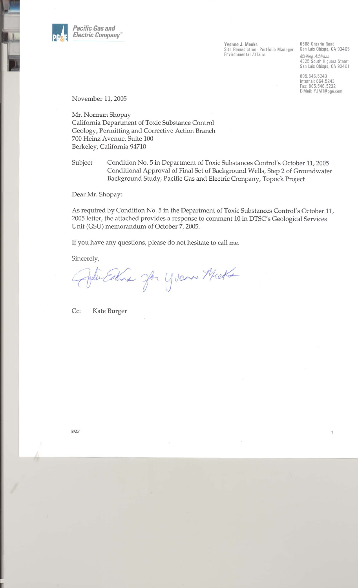

Yvonne J. Meeks Site Remediation - Portfolio Manager Environmental Affairs

6588 Ontario Road San Luis Obispo, CA 93405

**Mailing Address** 4325 South Higuera Street San Luis Obispo, CA 93401

805.546.5243 Internal: 664.5243 Fax: 805.546.5232 E-Mail: YJM1@pge.com

1

November 11, 2005

Mr. Norman Shopay California Department of Toxic Substance Control Geology, Permitting and Corrective Action Branch 700 Heinz Avenue, Suite 100 Berkeley, California 94710

Condition No. 5 in Department of Toxic Substances Control's October 11, 2005 Subject Conditional Approval of Final Set of Background Wells, Step 2 of Groundwater Background Study, Pacific Gas and Electric Company, Topock Project

Dear Mr. Shopay:

As required by Condition No. 5 in the Department of Toxic Substances Control's October 11, 2005 letter, the attached provides a response to comment 10 in DTSC's Geological Services Unit (GSU) memorandum of October 7, 2005.

If you have any questions, please do not hesitate to call me.

Sincerely,

Julie Estina Jon Yvanne Micke

 $Cc:$ Kate Burger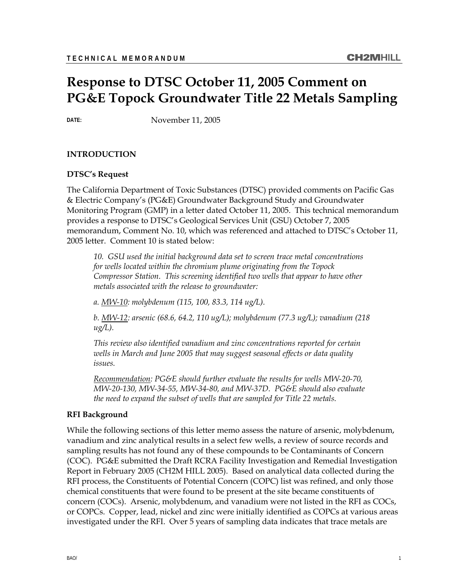# **Response to DTSC October 11, 2005 Comment on PG&E Topock Groundwater Title 22 Metals Sampling**

**DATE:** November 11, 2005

#### **INTRODUCTION**

#### **DTSC's Request**

The California Department of Toxic Substances (DTSC) provided comments on Pacific Gas & Electric Company's (PG&E) Groundwater Background Study and Groundwater Monitoring Program (GMP) in a letter dated October 11, 2005. This technical memorandum provides a response to DTSC's Geological Services Unit (GSU) October 7, 2005 memorandum, Comment No. 10, which was referenced and attached to DTSC's October 11, 2005 letter. Comment 10 is stated below:

*10. GSU used the initial background data set to screen trace metal concentrations for wells located within the chromium plume originating from the Topock Compressor Station. This screening identified two wells that appear to have other metals associated with the release to groundwater:* 

*a. MW-10: molybdenum (115, 100, 83.3, 114 ug/L).* 

*b. MW-12: arsenic (68.6, 64.2, 110 ug/L); molybdenum (77.3 ug/L); vanadium (218 ug/L).* 

*This review also identified vanadium and zinc concentrations reported for certain wells in March and June 2005 that may suggest seasonal effects or data quality issues.* 

*Recommendation: PG&E should further evaluate the results for wells MW-20-70, MW-20-130, MW-34-55, MW-34-80, and MW-37D. PG&E should also evaluate the need to expand the subset of wells that are sampled for Title 22 metals.* 

#### **RFI Background**

While the following sections of this letter memo assess the nature of arsenic, molybdenum, vanadium and zinc analytical results in a select few wells, a review of source records and sampling results has not found any of these compounds to be Contaminants of Concern (COC). PG&E submitted the Draft RCRA Facility Investigation and Remedial Investigation Report in February 2005 (CH2M HILL 2005). Based on analytical data collected during the RFI process, the Constituents of Potential Concern (COPC) list was refined, and only those chemical constituents that were found to be present at the site became constituents of concern (COCs). Arsenic, molybdenum, and vanadium were not listed in the RFI as COCs, or COPCs. Copper, lead, nickel and zinc were initially identified as COPCs at various areas investigated under the RFI. Over 5 years of sampling data indicates that trace metals are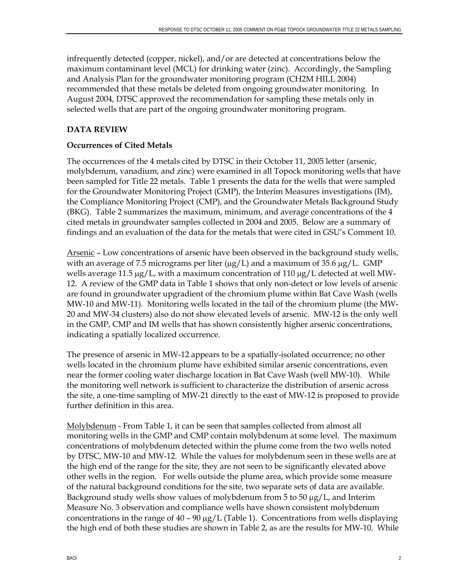infrequently detected (copper, nickel), and/or are detected at concentrations below the maximum contaminant level (MCL) for drinking water (zinc). Accordingly, the Sampling and Analysis Plan for the groundwater monitoring program (CH2M HILL 2004) recommended that these metals be deleted from ongoing groundwater monitoring. In August 2004, DTSC approved the recommendation for sampling these metals only in selected wells that are part of the ongoing groundwater monitoring program.

# **DATA REVIEW**

# **Occurrences of Cited Metals**

The occurrences of the 4 metals cited by DTSC in their October 11, 2005 letter (arsenic, molybdenum, vanadium, and zinc) were examined in all Topock monitoring wells that have been sampled for Title 22 metals. Table 1 presents the data for the wells that were sampled for the Groundwater Monitoring Project (GMP), the Interim Measures investigations (IM), the Compliance Monitoring Project (CMP), and the Groundwater Metals Background Study (BKG). Table 2 summarizes the maximum, minimum, and average concentrations of the 4 cited metals in groundwater samples collected in 2004 and 2005. Below are a summary of findings and an evaluation of the data for the metals that were cited in GSU's Comment 10.

Arsenic - Low concentrations of arsenic have been observed in the background study wells, with an average of 7.5 micrograms per liter ( $\mu$ g/L) and a maximum of 35.6  $\mu$ g/L. GMP wells average 11.5 μg/L, with a maximum concentration of 110 μg/L detected at well MW-12. A review of the GMP data in Table 1 shows that only non-detect or low levels of arsenic are found in groundwater upgradient of the chromium plume within Bat Cave Wash (wells MW-10 and MW-11). Monitoring wells located in the tail of the chromium plume (the MW-20 and MW-34 clusters) also do not show elevated levels of arsenic. MW-12 is the only well in the GMP, CMP and IM wells that has shown consistently higher arsenic concentrations, indicating a spatially localized occurrence.

The presence of arsenic in MW-12 appears to be a spatially-isolated occurrence; no other wells located in the chromium plume have exhibited similar arsenic concentrations, even near the former cooling water discharge location in Bat Cave Wash (well MW-10). While the monitoring well network is sufficient to characterize the distribution of arsenic across the site, a one-time sampling of MW-21 directly to the east of MW-12 is proposed to provide further definition in this area.

Molybdenum - From Table 1, it can be seen that samples collected from almost all monitoring wells in the GMP and CMP contain molybdenum at some level. The maximum concentrations of molybdenum detected within the plume come from the two wells noted by DTSC, MW-10 and MW-12. While the values for molybdenum seen in these wells are at the high end of the range for the site, they are not seen to be significantly elevated above other wells in the region. For wells outside the plume area, which provide some measure of the natural background conditions for the site, two separate sets of data are available. Background study wells show values of molybdenum from 5 to 50 μg/L, and Interim Measure No. 3 observation and compliance wells have shown consistent molybdenum concentrations in the range of  $40 - 90 \mu g/L$  (Table 1). Concentrations from wells displaying the high end of both these studies are shown in Table 2, as are the results for MW-10. While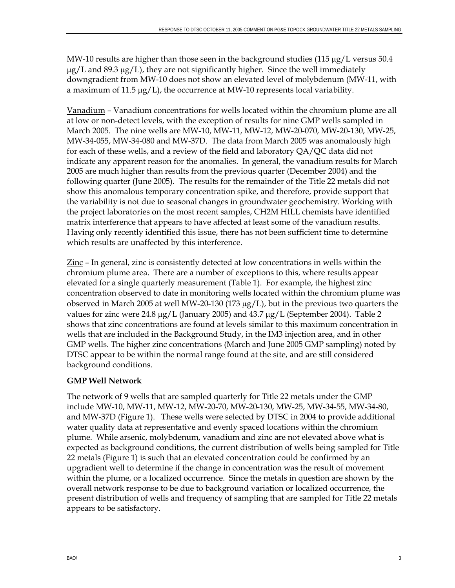MW-10 results are higher than those seen in the background studies  $(115 \mu g/L)$  versus 50.4  $\mu$ g/L and 89.3  $\mu$ g/L), they are not significantly higher. Since the well immediately downgradient from MW-10 does not show an elevated level of molybdenum (MW-11, with a maximum of 11.5 μg/L), the occurrence at MW-10 represents local variability.

Vanadium – Vanadium concentrations for wells located within the chromium plume are all at low or non-detect levels, with the exception of results for nine GMP wells sampled in March 2005. The nine wells are MW-10, MW-11, MW-12, MW-20-070, MW-20-130, MW-25, MW-34-055, MW-34-080 and MW-37D. The data from March 2005 was anomalously high for each of these wells, and a review of the field and laboratory QA/QC data did not indicate any apparent reason for the anomalies. In general, the vanadium results for March 2005 are much higher than results from the previous quarter (December 2004) and the following quarter (June 2005). The results for the remainder of the Title 22 metals did not show this anomalous temporary concentration spike, and therefore, provide support that the variability is not due to seasonal changes in groundwater geochemistry. Working with the project laboratories on the most recent samples, CH2M HILL chemists have identified matrix interference that appears to have affected at least some of the vanadium results. Having only recently identified this issue, there has not been sufficient time to determine which results are unaffected by this interference.

Zinc – In general, zinc is consistently detected at low concentrations in wells within the chromium plume area. There are a number of exceptions to this, where results appear elevated for a single quarterly measurement (Table 1). For example, the highest zinc concentration observed to date in monitoring wells located within the chromium plume was observed in March 2005 at well MW-20-130 (173 μg/L), but in the previous two quarters the values for zinc were 24.8 μg/L (January 2005) and 43.7 μg/L (September 2004). Table 2 shows that zinc concentrations are found at levels similar to this maximum concentration in wells that are included in the Background Study, in the IM3 injection area, and in other GMP wells. The higher zinc concentrations (March and June 2005 GMP sampling) noted by DTSC appear to be within the normal range found at the site, and are still considered background conditions.

# **GMP Well Network**

The network of 9 wells that are sampled quarterly for Title 22 metals under the GMP include MW-10, MW-11, MW-12, MW-20-70, MW-20-130, MW-25, MW-34-55, MW-34-80, and MW-37D (Figure 1). These wells were selected by DTSC in 2004 to provide additional water quality data at representative and evenly spaced locations within the chromium plume. While arsenic, molybdenum, vanadium and zinc are not elevated above what is expected as background conditions, the current distribution of wells being sampled for Title 22 metals (Figure 1) is such that an elevated concentration could be confirmed by an upgradient well to determine if the change in concentration was the result of movement within the plume, or a localized occurrence. Since the metals in question are shown by the overall network response to be due to background variation or localized occurrence, the present distribution of wells and frequency of sampling that are sampled for Title 22 metals appears to be satisfactory.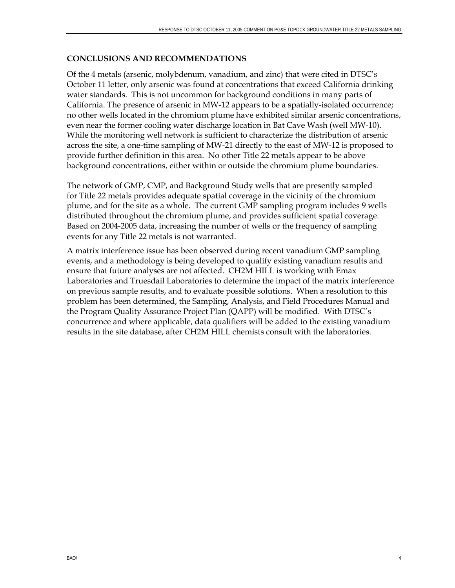## **CONCLUSIONS AND RECOMMENDATIONS**

Of the 4 metals (arsenic, molybdenum, vanadium, and zinc) that were cited in DTSC's October 11 letter, only arsenic was found at concentrations that exceed California drinking water standards. This is not uncommon for background conditions in many parts of California. The presence of arsenic in MW-12 appears to be a spatially-isolated occurrence; no other wells located in the chromium plume have exhibited similar arsenic concentrations, even near the former cooling water discharge location in Bat Cave Wash (well MW-10). While the monitoring well network is sufficient to characterize the distribution of arsenic across the site, a one-time sampling of MW-21 directly to the east of MW-12 is proposed to provide further definition in this area. No other Title 22 metals appear to be above background concentrations, either within or outside the chromium plume boundaries.

The network of GMP, CMP, and Background Study wells that are presently sampled for Title 22 metals provides adequate spatial coverage in the vicinity of the chromium plume, and for the site as a whole. The current GMP sampling program includes 9 wells distributed throughout the chromium plume, and provides sufficient spatial coverage. Based on 2004-2005 data, increasing the number of wells or the frequency of sampling events for any Title 22 metals is not warranted.

A matrix interference issue has been observed during recent vanadium GMP sampling events, and a methodology is being developed to qualify existing vanadium results and ensure that future analyses are not affected. CH2M HILL is working with Emax Laboratories and Truesdail Laboratories to determine the impact of the matrix interference on previous sample results, and to evaluate possible solutions. When a resolution to this problem has been determined, the Sampling, Analysis, and Field Procedures Manual and the Program Quality Assurance Project Plan (QAPP) will be modified. With DTSC's concurrence and where applicable, data qualifiers will be added to the existing vanadium results in the site database, after CH2M HILL chemists consult with the laboratories.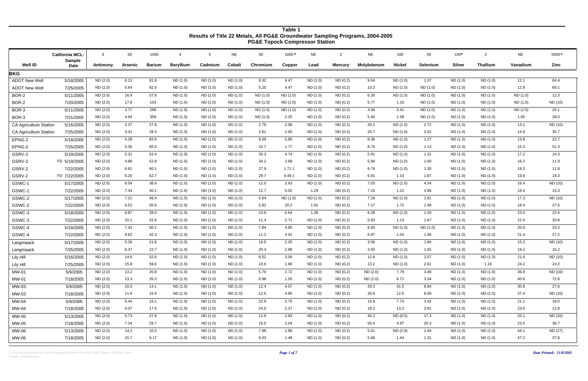G:\PacificGasElectricCo\TopockProgram\Database\Tuesdai\GMP\Topock\_2005Q2\_repor *Page 1 of 7* ts.mdb - ztitle22histor

| 1000*<br>5000*<br><b>California MCL:</b><br>50<br>1000<br><b>NE</b><br>50<br><b>NE</b><br><b>NE</b><br>100<br>50<br>$100*$<br><b>NE</b><br>-6<br>2<br>$\overline{2}$<br>-5<br>4<br>Sample<br><b>Well ID</b><br><b>Nickel</b><br><b>Silver</b><br><b>Thallium</b><br>Zinc<br><b>Barium</b><br><b>Beryllium</b><br><b>Cobalt</b><br>Chromium<br><b>Mercury</b><br>Molybdenum<br>Selenium<br>Vanadium<br>Cadmium<br>Copper<br>Lead<br>Antimony<br>Arsenic<br><b>Date</b><br><b>BKG</b><br>ND(0.2)<br><b>ADOT New Well</b><br>5/18/2005<br>ND (2.0)<br>6.12<br>81.9<br>ND (1.0)<br>ND (1.0)<br>ND (1.0)<br>9.32<br>4.47<br>ND (1.0)<br>9.54<br>ND (1.0)<br>1.07<br>ND (1.0)<br>ND (1.0)<br>12.1<br>64.4<br>60.1<br><b>ADOT New Well</b><br>7/25/2005<br>ND (2.0)<br>5.64<br>82.0<br>ND (1.0)<br>5.25<br>4.47<br>ND (0.2)<br>ND (1.0)<br>12.8<br>ND (1.0)<br>ND (1.0)<br>ND (1.0)<br>10.2<br>ND (1.0)<br>ND (1.0)<br>ND (1.0)<br>BOR-2<br>5/11/2005<br>57.8<br>ND (1.0)<br>12.3<br>ND(2.0)<br>16.4<br>ND (1.0)<br>ND (1.0)<br>ND (1.0)<br>ND (1.0)<br>ND(0.2)<br>6.30<br>ND(1.0)<br>ND (1.0)<br>ND (1.0)<br>ND (1.0)<br>ND (1.0)<br>ND (1.0)<br>ND(2.0)<br>ND (10)<br>BOR-2<br>7/20/2005<br>17.8<br>103<br>ND (1.0)<br>ND (1.0)<br>ND (1.0)<br>ND(1.0)<br>ND (1.0)<br>ND (1.0)<br>ND(0.2)<br>5.77<br>ND (1.0)<br>ND (1.0)<br>ND (1.0)<br>1.16<br>ND (1.0)<br>299<br>26.1<br>3.77<br>ND (1.0)<br>ND(0.2)<br>3.41<br>BOR-3<br>5/11/2005<br>ND(2.0)<br>ND (1.0)<br>ND (1.0)<br>ND(1.0)<br>ND (1.0)<br>ND (1.0)<br>4.94<br>ND (1.0)<br>ND (1.0)<br>ND (1.0)<br>ND (1.0)<br>ND(2.0)<br>359<br>1.58<br>28.0<br>4.94<br>ND (1.0)<br>ND (1.0)<br>ND(1.0)<br>2.25<br>ND(0.2)<br>5.40<br>ND (1.0)<br>ND(1.0)<br>1.05<br>BOR-3<br>7/21/2005<br>ND (1.0)<br>ND (1.0)<br>ND (1.0)<br>ND (2.0)<br>3.37<br>27.8<br>ND(0.2)<br>20.2<br>13.1<br>ND (10)<br><b>CA Agriculture Station</b><br>5/16/2005<br>ND (1.0)<br>ND (1.0)<br>ND (1.0)<br>2.76<br>2.06<br>ND (1.0)<br>ND (1.0)<br>2.72<br>ND (1.0)<br>ND (1.0)<br>ND (2.0)<br>28.4<br>2.81<br>2.65<br>20.7<br>2.52<br>35.7<br>7/25/2005<br>3.41<br>ND (1.0)<br>ND (1.0)<br>ND(1.0)<br>ND (1.0)<br>ND(0.2)<br>ND (1.0)<br>ND(1.0)<br>14.8<br>ND (1.0)<br><b>CA Agriculture Station</b><br>22.7<br>5.28<br>83.6<br>9.69<br>5.80<br>8.36<br>1.27<br>EPNG-2<br>ND(2.0)<br>ND (1.0)<br>ND (1.0)<br>ND (1.0)<br>ND(0.2)<br>ND (1.0)<br>ND (1.0)<br>ND (1.0)<br>13.8<br>5/18/2005<br>ND (1.0)<br>51.3<br>ND(2.0)<br>5.35<br>85.0<br>ND (1.0)<br>10.7<br>1.77<br>ND(0.2)<br>8.74<br>ND (1.0)<br>1.13<br>15.3<br>EPNG-2<br>7/25/2005<br>ND (1.0)<br>ND (1.0)<br>ND (1.0)<br>ND (1.0)<br>ND (1.0)<br>14.3<br>GSRV-2<br>5/19/2005<br>ND (2.0)<br>5.31<br>53.4<br>ND (1.0)<br>ND (1.0)<br>35.3<br>4.74<br>ND (1.0)<br>ND(0.2)<br>1.31<br>17.2<br>ND (1.0)<br>5.91<br>ND (1.0)<br>ND (1.0)<br>ND (1.0)<br>11.9<br>GSRV-2<br>ND(2.0)<br>4.88<br>52.8<br>ND (1.0)<br>34.2<br>3.69<br>ND (1.0)<br>ND(0.2)<br>5.84<br>ND (1.0)<br>1.60<br>16.3<br>FD 5/19/2005<br>ND (1.0)<br>ND (1.0)<br>ND (1.0)<br>ND(1.0)<br>11.8<br>GSRV-2<br>ND (2.0)<br>6.61<br>60.1<br>ND (1.0)<br>27.9<br>$1.71$ J<br>ND (1.0)<br>ND(0.2)<br>1.30<br>ND (1.0)<br>18.2<br>7/22/2005<br>ND (1.0)<br>ND (1.0)<br>6.74<br>ND (1.0)<br>ND (1.0)<br>62.7<br>19.3<br>GSRV-2<br>ND(2.0)<br>6.20<br>ND (1.0)<br>29.7<br>4.49 J<br>ND (1.0)<br>ND(0.2)<br>1.87<br>FD 7/22/2005<br>ND (1.0)<br>ND (1.0)<br>6.91<br>1.10<br>ND(1.0)<br>ND (1.0)<br>19.6 |
|----------------------------------------------------------------------------------------------------------------------------------------------------------------------------------------------------------------------------------------------------------------------------------------------------------------------------------------------------------------------------------------------------------------------------------------------------------------------------------------------------------------------------------------------------------------------------------------------------------------------------------------------------------------------------------------------------------------------------------------------------------------------------------------------------------------------------------------------------------------------------------------------------------------------------------------------------------------------------------------------------------------------------------------------------------------------------------------------------------------------------------------------------------------------------------------------------------------------------------------------------------------------------------------------------------------------------------------------------------------------------------------------------------------------------------------------------------------------------------------------------------------------------------------------------------------------------------------------------------------------------------------------------------------------------------------------------------------------------------------------------------------------------------------------------------------------------------------------------------------------------------------------------------------------------------------------------------------------------------------------------------------------------------------------------------------------------------------------------------------------------------------------------------------------------------------------------------------------------------------------------------------------------------------------------------------------------------------------------------------------------------------------------------------------------------------------------------------------------------------------------------------------------------------------------------------------------------------------------------------------------------------------------------------------------------------------------------------------------------------------------------------------------------------------------------------------------------------------------------------------------------------------------------------------------------------------------------------------------------------------------------------------------------------------------------------------------------------------------------------------------------------------------------------------------------------------------------------------------------------------------------------------------------------------------------------------------------------------------------------------------------------------------------------------------------|
|                                                                                                                                                                                                                                                                                                                                                                                                                                                                                                                                                                                                                                                                                                                                                                                                                                                                                                                                                                                                                                                                                                                                                                                                                                                                                                                                                                                                                                                                                                                                                                                                                                                                                                                                                                                                                                                                                                                                                                                                                                                                                                                                                                                                                                                                                                                                                                                                                                                                                                                                                                                                                                                                                                                                                                                                                                                                                                                                                                                                                                                                                                                                                                                                                                                                                                                                                                                                                                  |
|                                                                                                                                                                                                                                                                                                                                                                                                                                                                                                                                                                                                                                                                                                                                                                                                                                                                                                                                                                                                                                                                                                                                                                                                                                                                                                                                                                                                                                                                                                                                                                                                                                                                                                                                                                                                                                                                                                                                                                                                                                                                                                                                                                                                                                                                                                                                                                                                                                                                                                                                                                                                                                                                                                                                                                                                                                                                                                                                                                                                                                                                                                                                                                                                                                                                                                                                                                                                                                  |
|                                                                                                                                                                                                                                                                                                                                                                                                                                                                                                                                                                                                                                                                                                                                                                                                                                                                                                                                                                                                                                                                                                                                                                                                                                                                                                                                                                                                                                                                                                                                                                                                                                                                                                                                                                                                                                                                                                                                                                                                                                                                                                                                                                                                                                                                                                                                                                                                                                                                                                                                                                                                                                                                                                                                                                                                                                                                                                                                                                                                                                                                                                                                                                                                                                                                                                                                                                                                                                  |
|                                                                                                                                                                                                                                                                                                                                                                                                                                                                                                                                                                                                                                                                                                                                                                                                                                                                                                                                                                                                                                                                                                                                                                                                                                                                                                                                                                                                                                                                                                                                                                                                                                                                                                                                                                                                                                                                                                                                                                                                                                                                                                                                                                                                                                                                                                                                                                                                                                                                                                                                                                                                                                                                                                                                                                                                                                                                                                                                                                                                                                                                                                                                                                                                                                                                                                                                                                                                                                  |
|                                                                                                                                                                                                                                                                                                                                                                                                                                                                                                                                                                                                                                                                                                                                                                                                                                                                                                                                                                                                                                                                                                                                                                                                                                                                                                                                                                                                                                                                                                                                                                                                                                                                                                                                                                                                                                                                                                                                                                                                                                                                                                                                                                                                                                                                                                                                                                                                                                                                                                                                                                                                                                                                                                                                                                                                                                                                                                                                                                                                                                                                                                                                                                                                                                                                                                                                                                                                                                  |
|                                                                                                                                                                                                                                                                                                                                                                                                                                                                                                                                                                                                                                                                                                                                                                                                                                                                                                                                                                                                                                                                                                                                                                                                                                                                                                                                                                                                                                                                                                                                                                                                                                                                                                                                                                                                                                                                                                                                                                                                                                                                                                                                                                                                                                                                                                                                                                                                                                                                                                                                                                                                                                                                                                                                                                                                                                                                                                                                                                                                                                                                                                                                                                                                                                                                                                                                                                                                                                  |
|                                                                                                                                                                                                                                                                                                                                                                                                                                                                                                                                                                                                                                                                                                                                                                                                                                                                                                                                                                                                                                                                                                                                                                                                                                                                                                                                                                                                                                                                                                                                                                                                                                                                                                                                                                                                                                                                                                                                                                                                                                                                                                                                                                                                                                                                                                                                                                                                                                                                                                                                                                                                                                                                                                                                                                                                                                                                                                                                                                                                                                                                                                                                                                                                                                                                                                                                                                                                                                  |
|                                                                                                                                                                                                                                                                                                                                                                                                                                                                                                                                                                                                                                                                                                                                                                                                                                                                                                                                                                                                                                                                                                                                                                                                                                                                                                                                                                                                                                                                                                                                                                                                                                                                                                                                                                                                                                                                                                                                                                                                                                                                                                                                                                                                                                                                                                                                                                                                                                                                                                                                                                                                                                                                                                                                                                                                                                                                                                                                                                                                                                                                                                                                                                                                                                                                                                                                                                                                                                  |
|                                                                                                                                                                                                                                                                                                                                                                                                                                                                                                                                                                                                                                                                                                                                                                                                                                                                                                                                                                                                                                                                                                                                                                                                                                                                                                                                                                                                                                                                                                                                                                                                                                                                                                                                                                                                                                                                                                                                                                                                                                                                                                                                                                                                                                                                                                                                                                                                                                                                                                                                                                                                                                                                                                                                                                                                                                                                                                                                                                                                                                                                                                                                                                                                                                                                                                                                                                                                                                  |
|                                                                                                                                                                                                                                                                                                                                                                                                                                                                                                                                                                                                                                                                                                                                                                                                                                                                                                                                                                                                                                                                                                                                                                                                                                                                                                                                                                                                                                                                                                                                                                                                                                                                                                                                                                                                                                                                                                                                                                                                                                                                                                                                                                                                                                                                                                                                                                                                                                                                                                                                                                                                                                                                                                                                                                                                                                                                                                                                                                                                                                                                                                                                                                                                                                                                                                                                                                                                                                  |
|                                                                                                                                                                                                                                                                                                                                                                                                                                                                                                                                                                                                                                                                                                                                                                                                                                                                                                                                                                                                                                                                                                                                                                                                                                                                                                                                                                                                                                                                                                                                                                                                                                                                                                                                                                                                                                                                                                                                                                                                                                                                                                                                                                                                                                                                                                                                                                                                                                                                                                                                                                                                                                                                                                                                                                                                                                                                                                                                                                                                                                                                                                                                                                                                                                                                                                                                                                                                                                  |
|                                                                                                                                                                                                                                                                                                                                                                                                                                                                                                                                                                                                                                                                                                                                                                                                                                                                                                                                                                                                                                                                                                                                                                                                                                                                                                                                                                                                                                                                                                                                                                                                                                                                                                                                                                                                                                                                                                                                                                                                                                                                                                                                                                                                                                                                                                                                                                                                                                                                                                                                                                                                                                                                                                                                                                                                                                                                                                                                                                                                                                                                                                                                                                                                                                                                                                                                                                                                                                  |
|                                                                                                                                                                                                                                                                                                                                                                                                                                                                                                                                                                                                                                                                                                                                                                                                                                                                                                                                                                                                                                                                                                                                                                                                                                                                                                                                                                                                                                                                                                                                                                                                                                                                                                                                                                                                                                                                                                                                                                                                                                                                                                                                                                                                                                                                                                                                                                                                                                                                                                                                                                                                                                                                                                                                                                                                                                                                                                                                                                                                                                                                                                                                                                                                                                                                                                                                                                                                                                  |
|                                                                                                                                                                                                                                                                                                                                                                                                                                                                                                                                                                                                                                                                                                                                                                                                                                                                                                                                                                                                                                                                                                                                                                                                                                                                                                                                                                                                                                                                                                                                                                                                                                                                                                                                                                                                                                                                                                                                                                                                                                                                                                                                                                                                                                                                                                                                                                                                                                                                                                                                                                                                                                                                                                                                                                                                                                                                                                                                                                                                                                                                                                                                                                                                                                                                                                                                                                                                                                  |
|                                                                                                                                                                                                                                                                                                                                                                                                                                                                                                                                                                                                                                                                                                                                                                                                                                                                                                                                                                                                                                                                                                                                                                                                                                                                                                                                                                                                                                                                                                                                                                                                                                                                                                                                                                                                                                                                                                                                                                                                                                                                                                                                                                                                                                                                                                                                                                                                                                                                                                                                                                                                                                                                                                                                                                                                                                                                                                                                                                                                                                                                                                                                                                                                                                                                                                                                                                                                                                  |
|                                                                                                                                                                                                                                                                                                                                                                                                                                                                                                                                                                                                                                                                                                                                                                                                                                                                                                                                                                                                                                                                                                                                                                                                                                                                                                                                                                                                                                                                                                                                                                                                                                                                                                                                                                                                                                                                                                                                                                                                                                                                                                                                                                                                                                                                                                                                                                                                                                                                                                                                                                                                                                                                                                                                                                                                                                                                                                                                                                                                                                                                                                                                                                                                                                                                                                                                                                                                                                  |
|                                                                                                                                                                                                                                                                                                                                                                                                                                                                                                                                                                                                                                                                                                                                                                                                                                                                                                                                                                                                                                                                                                                                                                                                                                                                                                                                                                                                                                                                                                                                                                                                                                                                                                                                                                                                                                                                                                                                                                                                                                                                                                                                                                                                                                                                                                                                                                                                                                                                                                                                                                                                                                                                                                                                                                                                                                                                                                                                                                                                                                                                                                                                                                                                                                                                                                                                                                                                                                  |
| 36.6<br>ND (10)<br>ND(2.0)<br>6.04<br>ND (1.0)<br>ND (1.0)<br>ND (1.0)<br>12.0<br>2.63<br>ND(0.2)<br>7.03<br>ND (1.0)<br>4.34<br>ND (1.0)<br>16.4<br>GSWC-1<br>5/17/2005<br>ND (1.0)<br>ND (1.0)                                                                                                                                                                                                                                                                                                                                                                                                                                                                                                                                                                                                                                                                                                                                                                                                                                                                                                                                                                                                                                                                                                                                                                                                                                                                                                                                                                                                                                                                                                                                                                                                                                                                                                                                                                                                                                                                                                                                                                                                                                                                                                                                                                                                                                                                                                                                                                                                                                                                                                                                                                                                                                                                                                                                                                                                                                                                                                                                                                                                                                                                                                                                                                                                                                 |
| 5.02<br>3.96<br>15.3<br>GSWC-1<br>ND(2.0)<br>7.34<br>40.1<br>ND (1.0)<br>12.7<br>1.29<br>ND (0.2)<br>7.15<br>1.22<br>ND (1.0)<br>18.4<br>7/22/2005<br>ND(1.0)<br>ND (1.0)<br>ND (1.0)                                                                                                                                                                                                                                                                                                                                                                                                                                                                                                                                                                                                                                                                                                                                                                                                                                                                                                                                                                                                                                                                                                                                                                                                                                                                                                                                                                                                                                                                                                                                                                                                                                                                                                                                                                                                                                                                                                                                                                                                                                                                                                                                                                                                                                                                                                                                                                                                                                                                                                                                                                                                                                                                                                                                                                                                                                                                                                                                                                                                                                                                                                                                                                                                                                            |
| 7.21<br>46.4<br>7.29<br>17.3<br>ND (10)<br>GSWC-2<br>5/17/2005<br>ND (2.0)<br>ND (1.0)<br>ND (1.0)<br>ND (1.0)<br>5.64<br>ND (1.0)<br>ND (1.0)<br>ND(0.2)<br>ND (1.0)<br>1.61<br>ND (1.0)<br>ND (1.0)                                                                                                                                                                                                                                                                                                                                                                                                                                                                                                                                                                                                                                                                                                                                                                                                                                                                                                                                                                                                                                                                                                                                                                                                                                                                                                                                                                                                                                                                                                                                                                                                                                                                                                                                                                                                                                                                                                                                                                                                                                                                                                                                                                                                                                                                                                                                                                                                                                                                                                                                                                                                                                                                                                                                                                                                                                                                                                                                                                                                                                                                                                                                                                                                                            |
| 27.6<br>8.52<br>GSWC-2<br>ND(2.0)<br>50.6<br>ND (1.0)<br>5.82<br>20.2<br>1.91<br>ND(0.2)<br>7.17<br>1.72<br>ND (1.0)<br>18.4<br>7/22/2005<br>ND (1.0)<br>ND (1.0)<br>1.48<br>ND (1.0)                                                                                                                                                                                                                                                                                                                                                                                                                                                                                                                                                                                                                                                                                                                                                                                                                                                                                                                                                                                                                                                                                                                                                                                                                                                                                                                                                                                                                                                                                                                                                                                                                                                                                                                                                                                                                                                                                                                                                                                                                                                                                                                                                                                                                                                                                                                                                                                                                                                                                                                                                                                                                                                                                                                                                                                                                                                                                                                                                                                                                                                                                                                                                                                                                                            |
| 22.6<br>GSWC-3<br>5/18/2005<br>ND (2.0)<br>8.87<br>28.0<br>ND (1.0)<br>13.8<br>6.64<br>1.36<br>ND(0.2)<br>6.28<br>1.20<br>23.0<br>ND (1.0)<br>ND (1.0)<br>ND (1.0)<br>ND (1.0)<br>ND (1.0)                                                                                                                                                                                                                                                                                                                                                                                                                                                                                                                                                                                                                                                                                                                                                                                                                                                                                                                                                                                                                                                                                                                                                                                                                                                                                                                                                                                                                                                                                                                                                                                                                                                                                                                                                                                                                                                                                                                                                                                                                                                                                                                                                                                                                                                                                                                                                                                                                                                                                                                                                                                                                                                                                                                                                                                                                                                                                                                                                                                                                                                                                                                                                                                                                                       |
| 33.8<br>GSWC-3<br>ND (2.0)<br>22.6<br>7/22/2005<br>10.1<br>ND (1.0)<br>2.71<br>ND (0.2)<br>5.83<br>1.67<br>ND (1.0)<br>22.6<br>ND (1.0)<br>ND (1.0)<br>11.4<br>ND (1.0)<br>1.13<br>ND (1.0)                                                                                                                                                                                                                                                                                                                                                                                                                                                                                                                                                                                                                                                                                                                                                                                                                                                                                                                                                                                                                                                                                                                                                                                                                                                                                                                                                                                                                                                                                                                                                                                                                                                                                                                                                                                                                                                                                                                                                                                                                                                                                                                                                                                                                                                                                                                                                                                                                                                                                                                                                                                                                                                                                                                                                                                                                                                                                                                                                                                                                                                                                                                                                                                                                                      |
| 23.5<br>60.1<br>7.84<br>5/18/2005<br>ND(2.0)<br>7.42<br>ND (1.0)<br>ND (1.0)<br>ND(1.0)<br>4.85<br>ND (1.0)<br>ND(0.2)<br>6.93<br>ND (1.0)<br>ND (1.0)<br>20.0<br>GSWC-4<br>ND (1.0)<br>ND (1.0)                                                                                                                                                                                                                                                                                                                                                                                                                                                                                                                                                                                                                                                                                                                                                                                                                                                                                                                                                                                                                                                                                                                                                                                                                                                                                                                                                                                                                                                                                                                                                                                                                                                                                                                                                                                                                                                                                                                                                                                                                                                                                                                                                                                                                                                                                                                                                                                                                                                                                                                                                                                                                                                                                                                                                                                                                                                                                                                                                                                                                                                                                                                                                                                                                                 |
| 27.2<br>42.3<br>ND(2.0)<br>8.62<br>6.97<br>21.4<br>GSWC-4<br>7/22/2005<br>ND(1.0)<br>ND (1.0)<br>ND (1.0)<br>11.2<br>4.91<br>ND (1.0)<br>ND (0.2)<br>1.04<br>1.06<br>ND (1.0)<br>ND (1.0)                                                                                                                                                                                                                                                                                                                                                                                                                                                                                                                                                                                                                                                                                                                                                                                                                                                                                                                                                                                                                                                                                                                                                                                                                                                                                                                                                                                                                                                                                                                                                                                                                                                                                                                                                                                                                                                                                                                                                                                                                                                                                                                                                                                                                                                                                                                                                                                                                                                                                                                                                                                                                                                                                                                                                                                                                                                                                                                                                                                                                                                                                                                                                                                                                                        |
| ND (10)<br>5/17/2005<br>ND(2.0)<br>5.26<br>21.8<br>ND (1.0)<br>ND (1.0)<br>ND (1.0)<br>19.5<br>2.25<br>ND (1.0)<br>ND(0.2)<br>3.56<br>ND (1.0)<br>1.84<br>ND (1.0)<br>15.3<br>ND (1.0)<br>Langmaack                                                                                                                                                                                                                                                                                                                                                                                                                                                                                                                                                                                                                                                                                                                                                                                                                                                                                                                                                                                                                                                                                                                                                                                                                                                                                                                                                                                                                                                                                                                                                                                                                                                                                                                                                                                                                                                                                                                                                                                                                                                                                                                                                                                                                                                                                                                                                                                                                                                                                                                                                                                                                                                                                                                                                                                                                                                                                                                                                                                                                                                                                                                                                                                                                              |
| 22.7<br>16.2<br>7/25/2005<br>ND(2.0)<br>6.37<br>ND (1.0)<br>ND (1.0)<br>20.4<br>2.99<br>ND (0.2)<br>3.50<br>ND (1.0)<br>1.65<br>ND (1.0)<br>19.2<br>ND (1.0)<br>ND (1.0)<br>ND (1.0)<br>Langmaack                                                                                                                                                                                                                                                                                                                                                                                                                                                                                                                                                                                                                                                                                                                                                                                                                                                                                                                                                                                                                                                                                                                                                                                                                                                                                                                                                                                                                                                                                                                                                                                                                                                                                                                                                                                                                                                                                                                                                                                                                                                                                                                                                                                                                                                                                                                                                                                                                                                                                                                                                                                                                                                                                                                                                                                                                                                                                                                                                                                                                                                                                                                                                                                                                                |
| 52.6<br>3.56<br>2.07<br>ND (10)<br>5/16/2005<br>ND(2.0)<br>14.6<br>ND(1.0)<br>ND (1.0)<br>ND (1.0)<br>9.52<br>ND (1.0)<br>ND(0.2)<br>12.6<br>ND (1.0)<br>ND(1.0)<br>21.6<br>Lily Hill<br>ND (1.0)                                                                                                                                                                                                                                                                                                                                                                                                                                                                                                                                                                                                                                                                                                                                                                                                                                                                                                                                                                                                                                                                                                                                                                                                                                                                                                                                                                                                                                                                                                                                                                                                                                                                                                                                                                                                                                                                                                                                                                                                                                                                                                                                                                                                                                                                                                                                                                                                                                                                                                                                                                                                                                                                                                                                                                                                                                                                                                                                                                                                                                                                                                                                                                                                                                |
| 59.6<br>ND (2.0)<br>15.9<br>ND (1.0)<br>ND (1.0)<br>10.6<br>1.80<br>ND (0.2)<br>13.2<br>ND (1.0)<br>ND (1.0)<br>1.16<br>24.2<br>7/25/2005<br>ND (1.0)<br>ND (1.0)<br>2.61<br>24.2<br>Lily Hill                                                                                                                                                                                                                                                                                                                                                                                                                                                                                                                                                                                                                                                                                                                                                                                                                                                                                                                                                                                                                                                                                                                                                                                                                                                                                                                                                                                                                                                                                                                                                                                                                                                                                                                                                                                                                                                                                                                                                                                                                                                                                                                                                                                                                                                                                                                                                                                                                                                                                                                                                                                                                                                                                                                                                                                                                                                                                                                                                                                                                                                                                                                                                                                                                                   |
| 5/9/2005<br>ND (2.0)<br>36.9<br>ND (10)<br>MW-01<br>13.2<br>20.8<br>ND (1.0)<br>ND (1.0)<br>ND (1.0)<br>5.70<br>2.72<br>ND (1.0)<br>ND (0.2)<br>ND (2.0)<br>7.79<br>3.48<br>ND (1.0)<br>ND (1.0)                                                                                                                                                                                                                                                                                                                                                                                                                                                                                                                                                                                                                                                                                                                                                                                                                                                                                                                                                                                                                                                                                                                                                                                                                                                                                                                                                                                                                                                                                                                                                                                                                                                                                                                                                                                                                                                                                                                                                                                                                                                                                                                                                                                                                                                                                                                                                                                                                                                                                                                                                                                                                                                                                                                                                                                                                                                                                                                                                                                                                                                                                                                                                                                                                                 |
| ND (2.0)<br>26.3<br>6.98<br>1.55<br>ND (2.0)<br>72.8<br>7/18/2005<br>13.3<br>ND (1.0)<br>ND (1.0)<br>ND (1.0)<br>ND (1.0)<br>ND (0.2)<br>6.71<br>3.34<br>ND (1.0)<br>ND (1.0)<br>40.6<br>MW-01                                                                                                                                                                                                                                                                                                                                                                                                                                                                                                                                                                                                                                                                                                                                                                                                                                                                                                                                                                                                                                                                                                                                                                                                                                                                                                                                                                                                                                                                                                                                                                                                                                                                                                                                                                                                                                                                                                                                                                                                                                                                                                                                                                                                                                                                                                                                                                                                                                                                                                                                                                                                                                                                                                                                                                                                                                                                                                                                                                                                                                                                                                                                                                                                                                   |
| 27.6<br>5/9/2005<br>ND (2.0)<br>10.3<br>14.1<br>ND (1.0)<br>ND (1.0)<br>ND (1.0)<br>12.4<br>4.07<br>ND (1.0)<br>ND (0.2)<br>29.3<br>41.5<br>8.84<br>ND (1.0)<br>30.8<br>MW-03<br>ND (1.0)                                                                                                                                                                                                                                                                                                                                                                                                                                                                                                                                                                                                                                                                                                                                                                                                                                                                                                                                                                                                                                                                                                                                                                                                                                                                                                                                                                                                                                                                                                                                                                                                                                                                                                                                                                                                                                                                                                                                                                                                                                                                                                                                                                                                                                                                                                                                                                                                                                                                                                                                                                                                                                                                                                                                                                                                                                                                                                                                                                                                                                                                                                                                                                                                                                        |
| ND (2.0)<br>ND (1.0)<br>ND (1.0)<br>4.85<br>ND (0.2)<br>8.09<br>ND (10)<br>7/18/2005<br>11.9<br>15.9<br>ND (1.0)<br>12.5<br>ND (1.0)<br>26.6<br>12.5<br>ND (1.0)<br>ND (1.0)<br>37.4<br>MW-03                                                                                                                                                                                                                                                                                                                                                                                                                                                                                                                                                                                                                                                                                                                                                                                                                                                                                                                                                                                                                                                                                                                                                                                                                                                                                                                                                                                                                                                                                                                                                                                                                                                                                                                                                                                                                                                                                                                                                                                                                                                                                                                                                                                                                                                                                                                                                                                                                                                                                                                                                                                                                                                                                                                                                                                                                                                                                                                                                                                                                                                                                                                                                                                                                                    |
| 5/9/2005<br>ND (2.0)<br>5.44<br>16.1<br>ND (1.0)<br>ND (1.0)<br>ND (1.0)<br>22.9<br>2.75<br>ND (1.0)<br>ND (0.2)<br>15.8<br>7.74<br>3.42<br>ND (1.0)<br>ND (1.0)<br>21.1<br>18.0<br>MW-04                                                                                                                                                                                                                                                                                                                                                                                                                                                                                                                                                                                                                                                                                                                                                                                                                                                                                                                                                                                                                                                                                                                                                                                                                                                                                                                                                                                                                                                                                                                                                                                                                                                                                                                                                                                                                                                                                                                                                                                                                                                                                                                                                                                                                                                                                                                                                                                                                                                                                                                                                                                                                                                                                                                                                                                                                                                                                                                                                                                                                                                                                                                                                                                                                                        |
| ND (2.0)<br>17.6<br>ND (1.0)<br>ND (1.0)<br>ND (1.0)<br>ND (0.2)<br>13.2<br>ND (1.0)<br>12.8<br>MW-04<br>7/18/2005<br>6.07<br>ND (1.0)<br>24.0<br>2.27<br>18.2<br>3.91<br>ND (1.0)<br>23.6                                                                                                                                                                                                                                                                                                                                                                                                                                                                                                                                                                                                                                                                                                                                                                                                                                                                                                                                                                                                                                                                                                                                                                                                                                                                                                                                                                                                                                                                                                                                                                                                                                                                                                                                                                                                                                                                                                                                                                                                                                                                                                                                                                                                                                                                                                                                                                                                                                                                                                                                                                                                                                                                                                                                                                                                                                                                                                                                                                                                                                                                                                                                                                                                                                       |
| ND (32)<br>ND (2.0)<br>5.73<br>27.8<br>ND (1.0)<br>ND (1.0)<br>12.9<br>2.83<br>ND (0.2)<br>45.2<br>17.3<br>ND (1.0)<br>20.1<br>MW-05<br>5/13/2005<br>ND (1.0)<br>ND (1.0)<br>ND (6.5)<br>ND (1.0)                                                                                                                                                                                                                                                                                                                                                                                                                                                                                                                                                                                                                                                                                                                                                                                                                                                                                                                                                                                                                                                                                                                                                                                                                                                                                                                                                                                                                                                                                                                                                                                                                                                                                                                                                                                                                                                                                                                                                                                                                                                                                                                                                                                                                                                                                                                                                                                                                                                                                                                                                                                                                                                                                                                                                                                                                                                                                                                                                                                                                                                                                                                                                                                                                                |
| 36.7<br>ND (2.0)<br>29.7<br>ND (1.0)<br>ND (1.0)<br>ND (0.2)<br>ND (1.0)<br>MW-05<br>7/18/2005<br>7.34<br>ND (1.0)<br>15.0<br>2.04<br>ND (1.0)<br>50.4<br>4.97<br>20.3<br>ND (1.0)<br>23.5                                                                                                                                                                                                                                                                                                                                                                                                                                                                                                                                                                                                                                                                                                                                                                                                                                                                                                                                                                                                                                                                                                                                                                                                                                                                                                                                                                                                                                                                                                                                                                                                                                                                                                                                                                                                                                                                                                                                                                                                                                                                                                                                                                                                                                                                                                                                                                                                                                                                                                                                                                                                                                                                                                                                                                                                                                                                                                                                                                                                                                                                                                                                                                                                                                       |
| ND (27)<br>MW-06<br>5/13/2005<br>ND (2.0)<br>14.2<br>10.2<br>ND (1.0)<br>ND (1.0)<br>ND (1.0)<br>7.98<br>1.89<br>ND (1.0)<br>ND (0.2)<br>5.61<br>ND (2.9)<br>1.44<br>ND (1.0)<br>ND (1.0)<br>44.1                                                                                                                                                                                                                                                                                                                                                                                                                                                                                                                                                                                                                                                                                                                                                                                                                                                                                                                                                                                                                                                                                                                                                                                                                                                                                                                                                                                                                                                                                                                                                                                                                                                                                                                                                                                                                                                                                                                                                                                                                                                                                                                                                                                                                                                                                                                                                                                                                                                                                                                                                                                                                                                                                                                                                                                                                                                                                                                                                                                                                                                                                                                                                                                                                                |
| MW-06<br>ND (2.0)<br>15.7<br>9.17<br>ND (1.0)<br>9.03<br>1.48<br>ND (0.2)<br>5.68<br>1.31<br>ND (1.0)<br>47.2<br>37.8<br>7/18/2005<br>ND (1.0)<br>ND (1.0)<br>ND (1.0)<br>1.44<br>ND (1.0)                                                                                                                                                                                                                                                                                                                                                                                                                                                                                                                                                                                                                                                                                                                                                                                                                                                                                                                                                                                                                                                                                                                                                                                                                                                                                                                                                                                                                                                                                                                                                                                                                                                                                                                                                                                                                                                                                                                                                                                                                                                                                                                                                                                                                                                                                                                                                                                                                                                                                                                                                                                                                                                                                                                                                                                                                                                                                                                                                                                                                                                                                                                                                                                                                                       |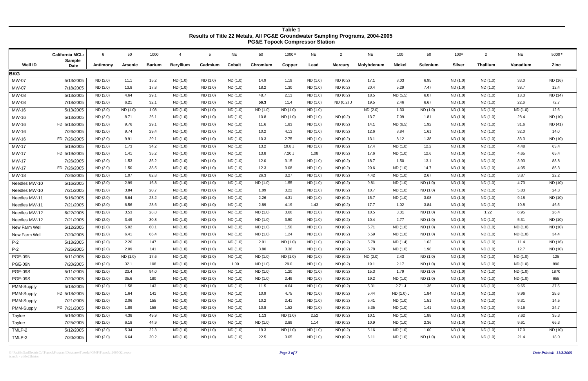G:\PacificGasElectricCo\TopockProgram\Database\Tuesdai\GMP\Topock\_2005Q2\_repor *Page 2 of 7* ts.mdb - ztitle22histor

|                |                                         |          |          |               |                  |          |               | <b>I</b> Occurrence complessor otation |          |           |                                        |            |               |                 |               |                 |           |         |
|----------------|-----------------------------------------|----------|----------|---------------|------------------|----------|---------------|----------------------------------------|----------|-----------|----------------------------------------|------------|---------------|-----------------|---------------|-----------------|-----------|---------|
|                | <b>California MCL:</b><br><b>Sample</b> | 6        | 50       | 1000          | $\overline{4}$   | 5        | <b>NE</b>     | 50                                     | 1000 *   | <b>NE</b> | $\overline{2}$                         | <b>NE</b>  | 100           | 50              | $100*$        | $\overline{2}$  | <b>NE</b> | 5000*   |
| <b>Well ID</b> | <b>Date</b>                             | Antimony | Arsenic  | <b>Barium</b> | <b>Beryllium</b> | Cadmium  | <b>Cobalt</b> | Chromium                               | Copper   | Lead      | <b>Mercury</b>                         | Molybdenum | <b>Nickel</b> | <b>Selenium</b> | <b>Silver</b> | <b>Thallium</b> | Vanadium  | Zinc    |
| <b>BKG</b>     |                                         |          |          |               |                  |          |               |                                        |          |           |                                        |            |               |                 |               |                 |           |         |
| MW-07          | 5/13/2005                               | ND (2.0) | 11.1     | 15.2          | ND (1.0)         | ND (1.0) | ND (1.0)      | 14.9                                   | 1.19     | ND (1.0)  | ND(0.2)                                | 17.1       | 8.03          | 6.95            | ND (1.0)      | ND (1.0)        | 33.0      | ND (16) |
| MW-07          | 7/18/2005                               | ND(2.0)  | 13.8     | 17.8          | ND (1.0)         | ND (1.0) | ND (1.0)      | 18.2                                   | 1.30     | ND(1.0)   | ND(0.2)                                | 20.4       | 5.29          | 7.47            | ND (1.0)      | ND (1.0)        | 38.7      | 12.4    |
| MW-08          | 5/13/2005                               | ND (2.0) | 4.64     | 29.1          | ND (1.0)         | ND (1.0) | ND (1.0)      | 48.7                                   | 2.11     | ND (1.0)  | ND(0.2)                                | 18.5       | ND (5.5)      | 6.07            | ND (1.0)      | ND (1.0)        | 18.3      | ND (14) |
| MW-08          | 7/18/2005                               | ND (2.0) | 6.21     | 32.1          | ND (1.0)         | ND (1.0) | ND (1.0)      | 56.3                                   | 11.4     | ND (1.0)  | ND (0.2) J                             | 19.5       | 2.46          | 6.67            | ND (1.0)      | ND (1.0)        | 22.6      | 72.7    |
| MW-16          | 5/13/2005                               | ND (2.0) | ND (1.0) | 1.08          | ND (1.0)         | ND (1.0) | ND (1.0)      | ND (1.0)                               | ND (1.0) | ND (1.0)  | $\scriptstyle\cdots\scriptstyle\cdots$ | ND (2.0)   | 1.33          | ND(1.0)         | ND (1.0)      | ND (1.0)        | ND (1.0)  | 12.6    |
| MW-16          | 5/13/2005                               | ND(2.0)  | 8.71     | 26.1          | ND (1.0)         | ND (1.0) | ND (1.0)      | 10.8                                   | ND (1.0) | ND (1.0)  | ND(0.2)                                | 13.7       | 7.09          | 1.81            | ND (1.0)      | ND (1.0)        | 28.4      | ND (10) |
| MW-16          | FD 5/13/2005                            | ND(2.0)  | 9.76     | 29.1          | ND (1.0)         | ND (1.0) | ND (1.0)      | 11.6                                   | 1.83     | ND (1.0)  | ND(0.2)                                | 14.1       | ND (6.5)      | 1.92            | ND (1.0)      | ND (1.0)        | 31.6      | ND (41) |
| MW-16          | 7/26/2005                               | ND(2.0)  | 9.74     | 29.4          | ND (1.0)         | ND (1.0) | ND (1.0)      | 10.2                                   | 4.13     | ND (1.0)  | ND(0.2)                                | 12.6       | 8.84          | 1.61            | ND (1.0)      | ND (1.0)        | 32.0      | 14.0    |
| MW-16          | FD 7/26/2005                            | ND(2.0)  | 9.91     | 29.1          | ND (1.0)         | ND (1.0) | ND (1.0)      | 10.3                                   | 2.75     | ND (1.0)  | ND(0.2)                                | 13.1       | 8.12          | 1.38            | ND (1.0)      | ND (1.0)        | 33.3      | ND (10) |
| MW-17          | 5/19/2005                               | ND (2.0) | 1.73     | 34.2          | ND (1.0)         | ND (1.0) | ND (1.0)      | 13.2                                   | 19.8 J   | ND (1.0)  | ND(0.2)                                | 17.4       | ND (1.0)      | 12.2            | ND (1.0)      | ND (1.0)        | 4.48      | 63.4    |
| <b>MW-17</b>   | FD 5/19/2005                            | ND (2.0) | 1.41     | 35.2          | ND (1.0)         | ND (1.0) | ND (1.0)      | 13.8                                   | 7.20 J   | 1.08      | ND(0.2)                                | 17.6       | ND (1.0)      | 12.6            | ND (1.0)      | ND (1.0)        | 4.65      | 65.4    |
| <b>MW-17</b>   | 7/26/2005                               | ND (2.0) | 1.53     | 35.2          | ND (1.0)         | ND (1.0) | ND (1.0)      | 12.0                                   | 3.15     | ND (1.0)  | ND(0.2)                                | 18.7       | 1.50          | 13.1            | ND (1.0)      | ND (1.0)        | 3.93      | 88.8    |
| MW-17          | FD 7/26/2005                            | ND (2.0) | 1.50     | 38.5          | ND (1.0)         | ND (1.0) | ND (1.0)      | 12.3                                   | 3.08     | ND (1.0)  | ND(0.2)                                | 20.6       | ND (1.0)      | 14.7            | ND (1.0)      | ND (1.0)        | 4.05      | 85.3    |
| MW-18          | 7/26/2005                               | ND (2.0) | 1.07     | 82.8          | ND (1.0)         | ND (1.0) | ND (1.0)      | 26.3                                   | 3.27     | ND (1.0)  | ND(0.2)                                | 4.42       | ND (1.0)      | 2.67            | ND (1.0)      | ND (1.0)        | 3.87      | 22.2    |
| Needles MW-10  | 5/16/2005                               | ND (2.0) | 2.99     | 16.8          | ND (1.0)         | ND (1.0) | ND (1.0)      | ND (1.0)                               | 1.55     | ND (1.0)  | ND(0.2)                                | 9.81       | ND (1.0)      | ND (1.0)        | ND (1.0)      | ND (1.0)        | 4.73      | ND (10) |
| Needles MW-10  | 7/21/2005                               | ND(2.0)  | 3.84     | 20.7          | ND (1.0)         | ND (1.0) | ND (1.0)      | 1.09                                   | 3.22     | ND (1.0)  | ND(0.2)                                | 10.7       | ND (1.0)      | ND (1.0)        | ND (1.0)      | ND (1.0)        | 5.83      | 24.8    |
| Needles MW-11  | 5/16/2005                               | ND(2.0)  | 5.64     | 23.2          | ND (1.0)         | ND (1.0) | ND (1.0)      | 2.26                                   | 4.31     | ND (1.0)  | ND(0.2)                                | 15.7       | ND (1.0)      | 3.08            | ND (1.0)      | ND (1.0)        | 9.18      | ND (10) |
| Needles MW-11  | 7/21/2005                               | ND(2.0)  | 6.56     | 28.6          | ND (1.0)         | ND (1.0) | ND (1.0)      | 2.89                                   | 4.19     | 1.43      | ND(0.2)                                | 17.7       | 1.02          | 3.84            | ND (1.0)      | ND (1.0)        | 10.8      | 46.5    |
| Needles MW-12  | 6/22/2005                               | ND (2.0) | 3.53     | 28.8          | ND (1.0)         | ND (1.0) | ND (1.0)      | ND (1.0)                               | 3.66     | ND (1.0)  | ND (0.2)                               | 10.5       | 3.31          | ND (1.0)        | ND (1.0)      | 1.22            | 6.95      | 26.4    |
| Needles MW-12  | 7/21/2005                               | ND (2.0) | 3.49     | 30.8          | ND (1.0)         | ND (1.0) | ND (1.0)      | ND (1.0)                               | 3.50     | ND (1.0)  | ND(0.2)                                | 10.4       | 2.77          | ND (1.0)        | ND (1.0)      | ND (1.0)        | 5.31      | ND (10) |
| New Farm Well  | 5/12/2005                               | ND (2.0) | 5.02     | 60.1          | ND (1.0)         | ND (1.0) | ND (1.0)      | ND (1.0)                               | 1.50     | ND (1.0)  | ND(0.2)                                | 5.71       | ND (1.0)      | ND (1.0)        | ND (1.0)      | ND (1.0)        | ND(1.0)   | ND (10) |
| New Farm Well  | 7/20/2005                               | ND (2.0) | 6.41     | 66.4          | ND (1.0)         | ND (1.0) | ND (1.0)      | ND (1.0)                               | 1.24     | ND (1.0)  | ND(0.2)                                | 6.59       | ND (1.0)      | ND (1.0)        | ND (1.0)      | ND (1.0)        | ND (1.0)  | 34.4    |
| $P-2$          | 5/13/2005                               | ND (2.0) | 2.26     | 147           | ND (1.0)         | ND (1.0) | ND (1.0)      | 2.91                                   | ND (1.0) | ND (1.0)  | ND(0.2)                                | 5.78       | ND (1.4)      | 1.63            | ND (1.0)      | ND (1.0)        | 11.4      | ND (16) |
| $P-2$          | 7/26/2005                               | ND (2.0) | 2.09     | 141           | ND (1.0)         | ND (1.0) | ND (1.0)      | 3.80                                   | 3.36     | ND (1.0)  | ND(0.2)                                | 5.78       | ND (1.0)      | 1.98            | ND (1.0)      | ND (1.0)        | 12.7      | ND (10) |
| PGE-09N        | 5/11/2005                               | ND(2.0)  | ND(1.0)  | 17.6          | ND (1.0)         | ND (1.0) | ND (1.0)      | ND (1.0)                               | ND (1.0) | ND (1.0)  | ND(0.2)                                | ND (2.0)   | 2.43          | ND (1.0)        | ND (1.0)      | ND (1.0)        | ND(1.0)   | 125     |
| PGE-09N        | 7/20/2005                               | ND(2.0)  | 32.1     | 108           | ND (1.0)         | ND (1.0) | 1.00          | ND (1.0)                               | 29.0     | ND (1.0)  | ND(0.2)                                | 19.1       | 2.17          | ND (1.0)        | ND (1.0)      | ND (1.0)        | ND (1.0)  | 896     |
| <b>PGE-09S</b> | 5/11/2005                               | ND (2.0) | 23.4     | 94.0          | ND (1.0)         | ND (1.0) | ND (1.0)      | ND (1.0)                               | 1.20     | ND (1.0)  | ND(0.2)                                | 15.3       | 1.79          | ND (1.0)        | ND (1.0)      | ND (1.0)        | ND (1.0)  | 1870    |
| <b>PGE-09S</b> | 7/20/2005                               | ND (2.0) | 35.6     | 180           | ND (1.0)         | ND (1.0) | ND (1.0)      | ND (1.0)                               | 2.49     | ND (1.0)  | ND (0.2)                               | 19.2       | ND (1.0)      | ND (1.0)        | ND (1.0)      | ND (1.0)        | ND (1.0)  | 655     |
| PMM-Supply     | 5/18/2005                               | ND (2.0) | 1.58     | 143           | ND (1.0)         | ND (1.0) | ND (1.0)      | 11.5                                   | 4.64     | ND (1.0)  | ND(0.2)                                | 5.31       | $2.71$ J      | 1.36            | ND (1.0)      | ND (1.0)        | 9.65      | 37.5    |
| PMM-Supply     | FD 5/18/2005                            | ND (2.0) | 1.64     | 141           | ND (1.0)         | ND (1.0) | ND (1.0)      | 10.9                                   | 4.75     | ND (1.0)  | ND (0.2)                               | 5.44       | ND (1.0) J    | 1.84            | ND (1.0)      | ND (1.0)        | 9.96      | 25.6    |
| PMM-Supply     | 7/21/2005                               | ND (2.0) | 2.06     | 155           | ND (1.0)         | ND (1.0) | ND (1.0)      | 10.2                                   | 2.41     | ND (1.0)  | ND (0.2)                               | 5.41       | ND (1.0)      | 1.51            | ND (1.0)      | ND (1.0)        | 9.31      | 14.5    |
| PMM-Supply     | FD 7/21/2005                            | ND (2.0) | 1.89     | 158           | ND (1.0)         | ND (1.0) | ND (1.0)      | 10.8                                   | 1.52     | ND (1.0)  | ND (0.2)                               | 5.35       | ND (1.0)      | 1.41            | ND (1.0)      | ND (1.0)        | 9.16      | 24.7    |
| Tayloe         | 5/16/2005                               | ND (2.0) | 4.38     | 49.9          | ND (1.0)         | ND (1.0) | ND (1.0)      | 1.13                                   | ND (1.0) | 2.52      | ND (0.2)                               | 10.1       | ND (1.0)      | 1.88            | ND (1.0)      | ND (1.0)        | 7.62      | 35.3    |
| Tayloe         | 7/25/2005                               | ND (2.0) | 6.18     | 44.9          | ND (1.0)         | ND (1.0) | ND (1.0)      | ND (1.0)                               | 2.89     | 1.14      | ND (0.2)                               | 10.9       | ND (1.0)      | 2.36            | ND (1.0)      | ND (1.0)        | 9.61      | 66.3    |
| TMLP-2         | 5/12/2005                               | ND (2.0) | 5.34     | 22.3          | ND (1.0)         | ND (1.0) | ND (1.0)      | 19.3                                   | ND (1.0) | ND (1.0)  | ND (0.2)                               | 5.16       | ND (1.0)      | 1.00            | ND (1.0)      | ND (1.0)        | 17.0      | ND (10) |
| TMLP-2         | 7/20/2005                               | ND (2.0) | 6.64     | 20.2          | ND (1.0)         | ND (1.0) | ND (1.0)      | 22.5                                   | 3.05     | ND (1.0)  | ND (0.2)                               | 6.11       | ND (1.0)      | ND (1.0)        | ND (1.0)      | ND (1.0)        | 21.4      | 18.0    |
|                |                                         |          |          |               |                  |          |               |                                        |          |           |                                        |            |               |                 |               |                 |           |         |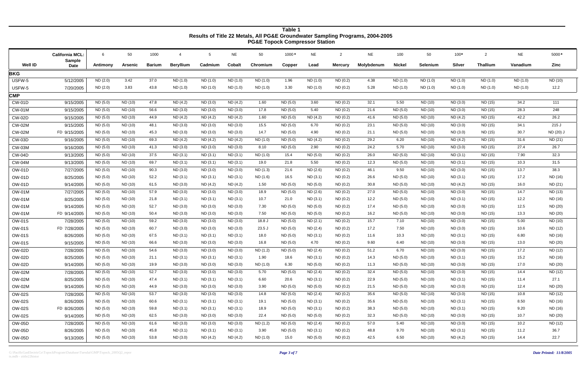|                | <b>California MCL:</b>       | 6        | 50      | 1000          | 4                | -5       | <b>NE</b>     | 50       | 1000*    | <b>NE</b> | $\overline{2}$ | <b>NE</b>  | 100      | 50       | $100*$        | $\overline{2}$  | <b>NE</b> | 5000*     |
|----------------|------------------------------|----------|---------|---------------|------------------|----------|---------------|----------|----------|-----------|----------------|------------|----------|----------|---------------|-----------------|-----------|-----------|
| <b>Well ID</b> | <b>Sample</b><br><b>Date</b> | Antimony | Arsenic | <b>Barium</b> | <b>Beryllium</b> | Cadmium  | <b>Cobalt</b> | Chromium | Copper   | Lead      | <b>Mercury</b> | Molybdenum | Nickel   | Selenium | <b>Silver</b> | <b>Thallium</b> | Vanadium  | Zinc      |
| <b>BKG</b>     |                              |          |         |               |                  |          |               |          |          |           |                |            |          |          |               |                 |           |           |
| USFW-5         | 5/12/2005                    | ND (2.0) | 3.42    | 37.0          | ND (1.0)         | ND (1.0) | ND (1.0)      | ND (1.0) | 1.96     | ND (1.0)  | ND(0.2)        | 4.38       | ND (1.0) | ND (1.0) | ND (1.0)      | ND(1.0)         | ND (1.0)  | ND (10)   |
| USFW-5         | 7/20/2005                    | ND (2.0) | 3.83    | 43.8          | ND (1.0)         | ND (1.0) | ND(1.0)       | ND (1.0) | 3.30     | ND (1.0)  | ND(0.2)        | 5.28       | ND (1.0) | ND (1.0) | ND(1.0)       | ND(1.0)         | ND (1.0)  | 12.2      |
| <b>CMP</b>     |                              |          |         |               |                  |          |               |          |          |           |                |            |          |          |               |                 |           |           |
| <b>CW-01D</b>  | 9/15/2005                    | ND (5.0) | ND (10) | 47.8          | ND (4.2)         | ND (3.0) | ND(4.2)       | 1.60     | ND (5.0) | 3.60      | ND(0.2)        | 32.1       | 5.50     | ND (10)  | ND (3.0)      | ND (15)         | 34.2      | 111       |
| <b>CW-01M</b>  | 9/15/2005                    | ND (5.0) | ND (10) | 56.6          | ND (3.0)         | ND (3.0) | ND (3.0)      | 17.8     | ND (5.0) | 5.40      | ND(0.2)        | 21.6       | ND (5.0) | ND (10)  | ND(3.0)       | ND (15)         | 28.3      | 248       |
| <b>CW-02D</b>  | 9/15/2005                    | ND (5.0) | ND (10) | 44.9          | ND(4.2)          | ND (4.2) | ND(4.2)       | 1.60     | ND(5.0)  | ND (4.2)  | ND(0.2)        | 41.6       | ND (5.0) | ND (10)  | ND(4.2)       | ND (15)         | 42.2      | 26.2      |
| <b>CW-02M</b>  | 9/15/2005                    | ND (5.0) | ND (10) | 48.1          | ND (3.0)         | ND (3.0) | ND (3.0)      | 15.5     | ND(5.0)  | 6.70      | ND(0.2)        | 23.1       | ND (5.0) | ND (10)  | ND(3.0)       | ND (15)         | 34.1      | 215 J     |
| <b>CW-02M</b>  | FD 9/15/2005                 | ND(5.0)  | ND (10) | 45.3          | ND (3.0)         | ND(3.0)  | ND (3.0)      | 14.7     | ND (5.0) | 4.90      | ND(0.2)        | 21.1       | ND (5.0) | ND (10)  | ND (3.0)      | ND (15)         | 30.7      | ND (20) J |
| <b>CW-03D</b>  | 9/16/2005                    | ND (5.0) | ND (10) | 69.3          | ND(4.2)          | ND(4.2)  | ND(4.2)       | ND (1.0) | ND(5.0)  | ND(4.2)   | ND(0.2)        | 29.2       | 6.20     | ND (10)  | ND(4.2)       | ND (15)         | 31.6      | ND (21)   |
| <b>CW-03M</b>  | 9/16/2005                    | ND(5.0)  | ND (10) | 41.3          | ND (3.0)         | ND(3.0)  | ND (3.0)      | 8.10     | ND (5.0) | 2.90      | ND (0.2)       | 24.2       | 5.70     | ND (10)  | ND(3.0)       | ND (15)         | 27.4      | 26.7      |
| <b>CW-04D</b>  | 9/13/2005                    | ND (5.0) | ND (10) | 37.5          | ND(3.1)          | ND(3.1)  | ND(3.1)       | ND (1.0) | 15.4     | ND(5.0)   | ND (0.2)       | 26.0       | ND(5.0)  | ND (10)  | ND(3.1)       | ND (15)         | 7.90      | 32.3      |
| <b>CW-04M</b>  | 9/13/2005                    | ND (5.0) | ND (10) | 69.7          | ND (3.1)         | ND (3.1) | ND (3.1)      | 19.0     | 21.8     | 5.50      | ND (0.2)       | 12.3       | ND (5.0) | ND (10)  | ND (3.1)      | ND (15)         | 10.3      | 31.5      |
| <b>OW-01D</b>  | 7/27/2005                    | ND (5.0) | ND (10) | 90.3          | ND (3.0)         | ND (3.0) | ND (3.0)      | ND (1.3) | 21.6     | ND (2.6)  | ND (0.2)       | 46.1       | 9.50     | ND (10)  | ND (3.0)      | ND (15)         | 13.7      | 38.3      |
| <b>OW-01D</b>  | 8/25/2005                    | ND (5.0) | ND (10) | 52.2          | ND(3.1)          | ND (3.1) | ND(3.1)       | ND (1.6) | 16.5     | ND (3.1)  | ND (0.2)       | 26.6       | ND (5.0) | ND (10)  | ND(3.1)       | ND (15)         | 17.2      | ND (16)   |
| <b>OW-01D</b>  | 9/14/2005                    | ND (5.0) | ND (10) | 61.5          | ND (3.0)         | ND(4.2)  | ND (4.2)      | 1.50     | ND (5.0) | ND (5.0)  | ND (0.2)       | 30.8       | ND (5.0) | ND (10)  | ND (4.2)      | ND (15)         | 16.0      | ND (21)   |
| <b>OW-01M</b>  | 7/27/2005                    | ND (5.0) | ND (10) | 57.9          | ND (3.0)         | ND (3.0) | ND (3.0)      | 18.9     | ND (5.0) | ND (2.6)  | ND(0.2)        | 27.0       | ND (5.0) | ND (10)  | ND (3.0)      | ND (15)         | 14.7      | ND (13)   |
| <b>OW-01M</b>  | 8/25/2005                    | ND (5.0) | ND (10) | 21.8          | ND (3.1)         | ND(3.1)  | ND(3.1)       | 10.7     | 21.0     | ND (3.1)  | ND(0.2)        | 12.2       | ND (5.0) | ND (10)  | ND (3.1)      | ND (15)         | 12.2      | ND (16)   |
| <b>OW-01M</b>  | 9/14/2005                    | ND (5.0) | ND (10) | 52.7          | ND (3.0)         | ND (3.0) | ND(3.0)       | 7.30     | ND(5.0)  | ND (5.0)  | ND(0.2)        | 17.4       | ND (5.0) | ND (10)  | ND (3.0)      | ND (15)         | 12.5      | ND (20)   |
| <b>OW-01M</b>  | FD 9/14/2005                 | ND (5.0) | ND (10) | 50.4          | ND (3.0)         | ND (3.0) | ND(3.0)       | 7.50     | ND (5.0) | ND (5.0)  | ND(0.2)        | 16.2       | ND (5.0) | ND (10)  | ND (3.0)      | ND (15)         | 13.3      | ND (20)   |
| <b>OW-01S</b>  | 7/28/2005                    | ND (5.0) | ND (10) | 59.2          | ND (3.0)         | ND (3.0) | ND(3.0)       | 18.8 J   | ND (5.0) | ND (2.1)  | ND (0.2)       | 15.7       | 7.10     | ND (10)  | ND (3.0)      | ND (15)         | 5.00      | ND (10)   |
| <b>OW-01S</b>  | FD 7/28/2005                 | ND(5.0)  | ND (10) | 60.7          | ND (3.0)         | ND(3.0)  | ND (3.0)      | 23.5J    | ND (5.0) | ND (2.4)  | ND(0.2)        | 17.2       | 7.50     | ND (10)  | ND (3.0)      | ND (15)         | 10.6      | ND (12)   |
| <b>OW-01S</b>  | 8/26/2005                    | ND (5.0) | ND (10) | 67.5          | ND(3.1)          | ND(3.1)  | ND (3.1)      | 18.0     | ND (5.0) | ND (3.1)  | ND(0.2)        | 11.6       | 10.3     | ND (10)  | ND (3.1)      | ND (15)         | 6.80      | ND (16)   |
| <b>OW-01S</b>  | 9/15/2005                    | ND(5.0)  | ND (10) | 66.6          | ND (3.0)         | ND(3.0)  | ND (3.0)      | 16.8     | ND (5.0) | 4.70      | ND(0.2)        | 9.60       | 6.40     | ND (10)  | ND (3.0)      | ND (15)         | 13.0      | ND (20)   |
| <b>OW-02D</b>  | 7/28/2005                    | ND (5.0) | ND (10) | 54.6          | ND (3.0)         | ND (3.0) | ND(3.0)       | ND (1.2) | ND (5.0) | ND(2.4)   | ND (0.2)       | 51.2       | 6.70     | ND (10)  | ND(3.0)       | ND (15)         | 17.2      | ND (12)   |
| <b>OW-02D</b>  | 8/25/2005                    | ND (5.0) | ND (10) | 21.1          | ND (3.1)         | ND(3.1)  | ND(3.1)       | 1.90     | 18.6     | ND(3.1)   | ND (0.2)       | 14.3       | ND (5.0) | ND (10)  | ND(3.1)       | ND (15)         | 15.2      | ND (16)   |
| <b>OW-02D</b>  | 9/14/2005                    | ND (5.0) | ND (10) | 19.9          | ND (3.0)         | ND (3.0) | ND (3.0)      | ND (1.0) | 6.30     | ND (5.0)  | ND (0.2)       | 11.3       | ND (5.0) | ND (10)  | ND (3.0)      | ND (15)         | 17.0      | ND (20)   |
| <b>OW-02M</b>  | 7/28/2005                    | ND (5.0) | ND (10) | 52.7          | ND (3.0)         | ND (3.0) | ND (3.0)      | 5.70     | ND (5.0) | ND (2.4)  | ND (0.2)       | 32.4       | ND (5.0) | ND (10)  | ND (3.0)      | ND (15)         | 14.4      | ND (12)   |
| <b>OW-02M</b>  | 8/25/2005                    | ND (5.0) | ND (10) | 47.4          | ND (3.1)         | ND (3.1) | ND (3.1)      | 6.60     | 20.6     | ND (3.1)  | ND (0.2)       | 22.9       | ND (5.0) | ND (10)  | ND (3.1)      | ND (15)         | 11.4      | 27.1      |
| <b>OW-02M</b>  | 9/14/2005                    | ND (5.0) | ND (10) | 44.9          | ND (3.0)         | ND (3.0) | ND (3.0)      | 3.90     | ND (5.0) | ND (5.0)  | ND (0.2)       | 21.5       | ND (5.0) | ND (10)  | ND (3.0)      | ND (15)         | 12.4      | ND (20)   |
| <b>OW-02S</b>  | 7/28/2005                    | ND (5.0) | ND (10) | 53.7          | ND (3.0)         | ND (3.0) | ND (3.0)      | 14.8     | ND (5.0) | ND (2.4)  | ND(0.2)        | 35.6       | ND (5.0) | ND (10)  | ND (3.0)      | ND (15)         | 10.8      | ND (12)   |
| <b>OW-02S</b>  | 8/26/2005                    | ND (5.0) | ND (10) | 60.6          | ND (3.1)         | ND(3.1)  | ND (3.1)      | 19.1     | ND (5.0) | ND (3.1)  | ND (0.2)       | 35.6       | ND (5.0) | ND (10)  | ND (3.1)      | ND (15)         | 8.50      | ND (16)   |
| <b>OW-02S</b>  | FD 8/26/2005                 | ND (5.0) | ND (10) | 59.8          | ND (3.1)         | ND (3.1) | ND (3.1)      | 18.9     | ND (5.0) | ND (3.1)  | ND (0.2)       | 38.3       | ND (5.0) | ND (10)  | ND (3.1)      | ND (15)         | 9.20      | ND (16)   |
| <b>OW-02S</b>  | 9/14/2005                    | ND (5.0) | ND (10) | 62.5          | ND (3.0)         | ND (3.0) | ND (3.0)      | 22.4     | ND (5.0) | ND (5.0)  | ND(0.2)        | 32.3       | ND (5.0) | ND (10)  | ND (3.0)      | ND (15)         | 10.7      | ND (20)   |
| <b>OW-05D</b>  | 7/28/2005                    | ND (5.0) | ND (10) | 61.6          | ND (3.0)         | ND (3.0) | ND (3.0)      | ND (1.2) | ND (5.0) | ND (2.4)  | ND (0.2)       | 57.0       | 5.40     | ND (10)  | ND (3.0)      | ND (15)         | 10.2      | ND (12)   |
| OW-05D         | 8/26/2005                    | ND (5.0) | ND (10) | 45.8          | ND (3.1)         | ND (3.1) | ND (3.1)      | 3.90     | ND (5.0) | ND (3.1)  | ND (0.2)       | 48.8       | 9.70     | ND (10)  | ND (3.1)      | ND (15)         | 11.2      | 36.7      |
| OW-05D         | 9/13/2005                    | ND (5.0) | ND (10) | 53.8          | ND (3.0)         | ND (4.2) | ND (4.2)      | ND (1.0) | 15.0     | ND (5.0)  | ND (0.2)       | 42.5       | 6.50     | ND (10)  | ND (4.2)      | ND (15)         | 14.4      | 22.7      |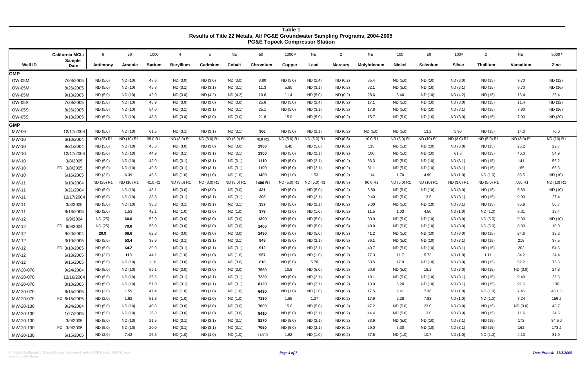G:\PacificGasElectricCo\TopockProgram\Database\Tuesdai\GMP\Topock\_2005Q2\_repor *Page 4 of 7* ts.mdb - ztitle22histor

|                |                                         |            |                |               |                  |             |               |          | <b>I</b> Abadii Adiibiyoodi |             |                |            |               |            |               |                 |             |            |
|----------------|-----------------------------------------|------------|----------------|---------------|------------------|-------------|---------------|----------|-----------------------------|-------------|----------------|------------|---------------|------------|---------------|-----------------|-------------|------------|
|                | <b>California MCL:</b><br><b>Sample</b> | 6          | 50             | 1000          | $\overline{4}$   | -5          | <b>NE</b>     | 50       | 1000*                       | <b>NE</b>   | $\overline{2}$ | <b>NE</b>  | 100           | 50         | $100*$        | $\overline{2}$  | <b>NE</b>   | 5000*      |
| <b>Well ID</b> | <b>Date</b>                             | Antimony   | <b>Arsenic</b> | <b>Barium</b> | <b>Beryllium</b> | Cadmium     | <b>Cobalt</b> | Chromium | Copper                      | Lead        | <b>Mercury</b> | Molybdenum | <b>Nickel</b> | Selenium   | <b>Silver</b> | <b>Thallium</b> | Vanadium    | Zinc       |
| <b>CMP</b>     |                                         |            |                |               |                  |             |               |          |                             |             |                |            |               |            |               |                 |             |            |
| <b>OW-05M</b>  | 7/28/2005                               | ND (5.0)   | ND (10)        | 47.6          | ND (3.0)         | ND (3.0)    | ND (3.0)      | 8.80     | ND (5.0)                    | ND (2.4)    | ND(0.2)        | 35.4       | ND (5.0)      | ND (10)    | ND (3.0)      | ND (15)         | 9.70        | ND (12)    |
| <b>OW-05M</b>  | 8/26/2005                               | ND (5.0)   | ND (10)        | 45.8          | ND (3.1)         | ND (3.1)    | ND (3.1)      | 11.3     | 5.80                        | ND(3.1)     | ND(0.2)        | 32.1       | ND (5.0)      | ND (10)    | ND (3.1)      | ND (15)         | 9.70        | ND (16)    |
| <b>OW-05M</b>  | 9/13/2005                               | ND (5.0)   | ND (10)        | 42.0          | ND (3.0)         | ND (4.2)    | ND (4.2)      | 10.6     | 11.4                        | ND (5.0)    | ND(0.2)        | 28.6       | 5.40          | ND (10)    | ND (4.2)      | ND (15)         | 13.4        | 26.4       |
| <b>OW-05S</b>  | 7/28/2005                               | ND (5.0)   | ND (10)        | 48.9          | ND (3.0)         | ND (3.0)    | ND (3.0)      | 25.6     | ND (5.0)                    | ND (2.4)    | ND(0.2)        | 17.1       | ND (5.0)      | ND (10)    | ND (3.0)      | ND (15)         | 11.4        | ND (12)    |
| <b>OW-05S</b>  | 8/26/2005                               | ND (5.0)   | ND (10)        | 54.0          | ND (3.1)         | ND (3.1)    | ND (3.1)      | 25.1     | ND (5.0)                    | ND (3.1)    | ND(0.2)        | 17.8       | ND (5.0)      | ND (10)    | ND (3.1)      | ND (15)         | 7.90        | ND (16)    |
| <b>OW-05S</b>  | 9/13/2005                               | ND (5.0)   | ND (10)        | 48.3          | ND (3.0)         | ND (3.0)    | ND (3.0)      | 21.8     | 15.0                        | ND (5.0)    | ND(0.2)        | 15.7       | ND (5.0)      | ND (10)    | ND(3.0)       | ND (15)         | 7.90        | ND (20)    |
| GMP            |                                         |            |                |               |                  |             |               |          |                             |             |                |            |               |            |               |                 |             |            |
| MW-09          | 12/17/2004                              | ND (5.0)   | ND (10)        | 61.5          | ND (3.1)         | ND(3.1)     | ND (3.1)      | 306      | ND (5.0)                    | ND(2.1)     | ND(0.2)        | ND (5.0)   | ND (5.0)      | 13.2       | 5.90          | ND (15)         | 14.0        | 70.0       |
| MW-10          | 6/10/2004                               | ND (25) R1 | ND (10) R1     | 38.0 R1       | ND (3.0) R1      | ND (3.0) R1 | ND (3.0) R1   | 410R1    | ND (5.0) R1                 | ND (5.0) R1 | ND(0.5)        | 10.0 R1    | ND (5.0) R1   | ND (10) R1 | ND (3.0) R1   | ND (5.0) R1     | ND (3.0) R1 | ND (10) R1 |
| MW-10          | 9/21/2004                               | ND (5.0)   | ND (10)        | 45.8          | ND (3.0)         | ND (3.0)    | ND (3.0)      | 1960     | 6.40                        | ND (5.0)    | ND(0.2)        | 115        | ND (5.0)      | ND (10)    | ND (3.0)      | ND (15)         | 25.2        | 22.7       |
| MW-10          | 12/17/2004                              | ND (5.0)   | ND (10)        | 44.9          | ND (3.1)         | ND (3.1)    | ND (3.1)      | 1300     | ND (5.0)                    | ND(2.1)     | ND(0.2)        | 100        | ND (5.0)      | ND (10)    | 61.8          | ND (15)         | 40.0        | 54.9       |
| MW-10          | 3/8/2005                                | ND (5.0)   | ND (10)        | 42.0          | ND(3.1)          | ND (3.1)    | ND (3.1)      | 1110     | ND (5.0)                    | ND(2.1)     | ND(0.2)        | 83.3       | ND (5.0)      | ND (10)    | ND(3.1)       | ND (15)         | 141         | 56.2       |
| MW-10          | FD 3/8/2005                             | ND (5.0)   | ND (10)        | 49.3          | ND (3.1)         | ND (3.1)    | ND (3.1)      | 1100     | ND (5.0)                    | ND(2.1)     | ND(0.2)        | 81.1       | ND (5.0)      | ND (10)    | ND (3.1)      | ND (15)         | 165         | 65.6       |
| MW-10          | 6/16/2005                               | ND (2.0)   | 6.39           | 45.5          | ND(1.0)          | ND (1.0)    | ND (1.0)      | 1400     | ND (1.0)                    | 1.53        | ND(0.2)        | 114        | 1.70          | 4.90       | ND (1.0)      | ND (1.0)        | 33.5        | ND (10)    |
| MW-11          | 6/10/2004                               | ND (25) R1 | ND (10) R1     | 41.0 R1       | ND (3.0) R1      | ND (3.0) R1 | ND (3.0) R1   | 1400 R1  | ND (5.0) R1                 | ND (5.0) R1 | ND(0.5)        | 90.0 R1    | ND (5.0) R1   | ND (10) R  | ND (3.0) R1   | ND (5.0) R1     | 7.00 R1     | ND (10) R1 |
| MW-11          | 9/21/2004                               | ND (5.0)   | ND (10)        | 45.1          | ND (3.0)         | ND (3.0)    | ND (3.0)      | 431      | ND (5.0)                    | ND (5.0)    | ND(0.2)        | 8.80       | ND (5.0)      | ND (10)    | ND (3.0)      | ND (15)         | 5.80        | ND (10)    |
| MW-11          | 12/17/2004                              | ND (5.0)   | ND (10)        | 38.8          | ND (3.1)         | ND(3.1)     | ND(3.1)       | 393      | ND (5.0)                    | ND(2.1)     | ND(0.2)        | 9.40       | ND (5.0)      | 13.6       | ND (3.1)      | ND (15)         | 9.90        | 27.4       |
| MW-11          | 3/8/2005                                | ND (5.0)   | ND (10)        | 38.3          | ND(3.1)          | ND (3.1)    | ND (3.1)      | 357      | ND (5.0)                    | ND(2.1)     | ND(0.2)        | 9.00       | ND (5.0)      | ND (10)    | ND (3.1)      | ND (15)         | 85.9        | 56.7       |
| MW-11          | 6/16/2005                               | ND (2.0)   | 1.53           | 42.1          | ND (1.0)         | ND (1.0)    | ND (1.0)      | 379      | ND (1.0)                    | ND (1.0)    | ND(0.2)        | 11.5       | 1.03          | 4.50       | ND (1.0)      | ND (1.0)        | 8.31        | 13.4       |
| MW-12          | 6/9/2004                                | ND (25)    | 60.0           | 52.0          | ND (3.0)         | ND (3.0)    | ND (3.0)      | 1300     | ND (5.0)                    | ND (5.0)    | ND(0.5)        | 30.0       | ND (5.0)      | ND (10)    | ND (3.0)      | ND (5.0)        | 9.00        | ND (10)    |
| MW-12          | FD 6/9/2004                             | ND (25)    | 70.0           | 56.0          | ND (3.0)         | ND (3.0)    | ND (3.0)      | 1400     | ND (5.0)                    | ND (5.0)    | ND(0.5)        | 40.0       | ND (5.0)      | ND (10)    | ND (3.0)      | ND (5.0)        | 8.00        | 10.0       |
| MW-12          | 9/20/2004                               | 20.9       | 68.6           | 62.8          | ND (3.0)         | ND (3.0)    | ND (3.0)      | 1490     | ND (5.0)                    | ND (5.0)    | ND(0.2)        | 41.2       | ND (5.0)      | ND (10)    | ND (3.0)      | ND (15)         | 24.6        | 19.2       |
| MW-12          | 3/10/2005                               | ND (5.0)   | 53.4           | 38.9          | ND (3.1)         | ND (3.1)    | ND (3.1)      | 945      | ND (5.0)                    | ND(2.1)     | ND(0.2)        | 36.1       | ND (5.0)      | ND (10)    | ND (3.1)      | ND (15)         | 218         | 37.5       |
| MW-12          | FD 3/10/2005                            | ND (5.0)   | 64.2           | 39.9          | ND(3.1)          | ND(3.1)     | ND (3.1)      | 912      | ND (5.0)                    | ND(2.1)     | ND(0.2)        | 40.7       | ND (5.0)      | ND (10)    | ND (3.1)      | ND (15)         | 202         | 54.6       |
| MW-12          | 6/13/2005                               | ND(2.0)    | 110            | 44.1          | ND(1.0)          | ND(1.0)     | ND (1.0)      | 957      | ND (1.0)                    | ND(1.0)     | ND(0.2)        | 77.3       | 11.7          | 5.73       | ND (1.0)      | 1.11            | 34.2        | 24.4       |
| MW-12          | 9/16/2005                               | ND (5.0)   | ND (10)        | 110           | ND (3.0)         | ND (3.0)    | ND (3.0)      | 618      | ND (5.0)                    | 5.70        | ND(0.2)        | 63.5       | 17.9          | ND (10)    | ND (3.0)      | ND (15)         | 52.2        | 75.5       |
| MW-20-070      | 9/24/2004                               | ND (5.0)   | ND (10)        | 59.1          | ND (3.0)         | ND (3.0)    | ND (3.0)      | 7550     | 10.8                        | ND (5.0)    | ND(0.2)        | 20.6       | ND (5.0)      | 18.1       | ND (3.0)      | ND (15)         | ND (3.0)    | 24.8       |
| MW-20-070      | 12/16/2004                              | ND (5.0)   | ND (10)        | 36.6          | ND (3.1)         | ND (3.1)    | ND (3.1)      | 7230     | ND (5.0)                    | ND (2.1)    | ND (0.2)       | 18.1       | ND (5.0)      | ND (10)    | ND (3.1)      | ND (15)         | 9.40        | 25.6       |
| MW-20-070      | 3/10/2005                               | ND (5.0)   | ND (10)        | 51.0          | ND (3.1)         | ND (3.1)    | ND (3.1)      | 8120     | ND (5.0)                    | ND(2.1)     | ND (0.2)       | 13.0       | 5.20          | ND (10)    | ND (3.1)      | ND (15)         | 91.6        | 136        |
| MW-20-070      | 6/15/2005                               | ND (2.0)   | 1.59           | 47.4          | ND (1.0)         | ND (1.0)    | ND (1.0)      | 6430     | ND (1.0)                    | ND (1.0)    | ND (0.2)       | 17.5       | 2.41          | 7.36       | ND (1.0)      | ND (1.0)        | 7.46        | 43.1 J     |
| MW-20-070      | FD 6/15/2005                            | ND (2.0)   | 1.62           | 51.8          | ND (1.0)         | ND (1.0)    | ND (1.0)      | 7130     | 1.86                        | 1.37        | ND (0.2)       | 17.9       | 2.28          | 7.83       | ND (1.0)      | ND (1.0)        | 8.24        | 159 J      |
| MW-20-130      | 9/24/2004                               | ND (5.0)   | ND (10)        | 40.3          | ND (3.0)         | ND (3.0)    | ND (3.0)      | 7000     | 15.0                        | ND (5.0)    | ND (0.2)       | 47.2       | ND (5.0)      | 23.0       | ND (3.0)      | ND (15)         | ND (3.0)    | 43.7       |
| MW-20-130      | 1/27/2005                               | ND (5.0)   | ND (10)        | 26.8          | ND (3.0)         | ND (3.0)    | ND (3.0)      | 8410     | ND (5.0)                    | ND (2.1)    | ND (0.2)       | 44.4       | ND (5.0)      | 13.0       | ND (3.0)      | ND (15)         | 11.6        | 24.6       |
| MW-20-130      | 3/9/2005                                | ND (5.0)   | ND (10)        | 21.5          | ND (3.1)         | ND (3.1)    | ND (3.1)      | 8170     | ND (5.0)                    | ND(2.1)     | ND (0.2)       | 33.6       | ND (5.0)      | ND (10)    | ND (3.1)      | ND (15)         | 172         | 84.5 J     |
| MW-20-130      | FD 3/9/2005                             | ND (5.0)   | ND (10)        | 20.0          | ND (3.1)         | ND (3.1)    | ND (3.1)      | 7050     | ND (5.0)                    | ND(2.1)     | ND (0.2)       | 29.0       | 5.30          | ND (10)    | ND (3.1)      | ND (15)         | 162         | 173 J      |
| MW-20-130      | 6/15/2005                               | ND (2.0)   | 7.42           | 26.5          | ND (1.0)         | ND (1.0)    | ND (1.0)      | 11300    | 1.62                        | ND (1.0)    | ND (0.2)       | 57.6       | ND (1.0)      | 10.7       | ND (1.0)      | ND (1.0)        | 4.13        | 31.9       |
|                |                                         |            |                |               |                  |             |               |          |                             |             |                |            |               |            |               |                 |             |            |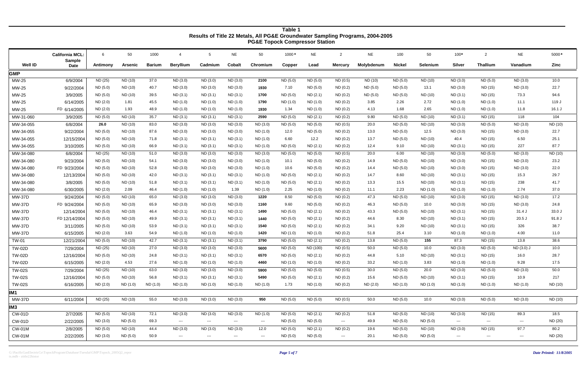G:\PacificGasElectricCo\TopockProgram\Database\Tuesdai\GMP\Topock\_2005Q2\_repor *Page 5 of 7* ts.mdb - ztitle22histor

|                |                                         |          |          |               |                  |                      |               | <b>I</b> Oas Topock Complessor Oldinoin |          |           |                        |            |               |          |                      |                                        |                                          |         |
|----------------|-----------------------------------------|----------|----------|---------------|------------------|----------------------|---------------|-----------------------------------------|----------|-----------|------------------------|------------|---------------|----------|----------------------|----------------------------------------|------------------------------------------|---------|
|                | <b>California MCL:</b><br><b>Sample</b> | 6        | 50       | 1000          | $\overline{4}$   | $5\overline{)}$      | <b>NE</b>     | 50                                      | 1000 *   | <b>NE</b> | $\overline{2}$         | <b>NE</b>  | 100           | 50       | $100*$               | $\overline{2}$                         | <b>NE</b>                                | 5000*   |
| <b>Well ID</b> | <b>Date</b>                             | Antimony | Arsenic  | <b>Barium</b> | <b>Beryllium</b> | Cadmium              | Cobalt        | Chromium                                | Copper   | Lead      | <b>Mercury</b>         | Molybdenum | <b>Nickel</b> | Selenium | <b>Silver</b>        | <b>Thallium</b>                        | Vanadium                                 | Zinc    |
| <b>GMP</b>     |                                         |          |          |               |                  |                      |               |                                         |          |           |                        |            |               |          |                      |                                        |                                          |         |
| MW-25          | 6/9/2004                                | ND (25)  | ND (10)  | 37.0          | ND (3.0)         | ND (3.0)             | ND (3.0)      | 2100                                    | ND (5.0) | ND (5.0)  | ND(0.5)                | ND (10)    | ND (5.0)      | ND (10)  | ND (3.0)             | ND (5.0)                               | ND (3.0)                                 | 10.0    |
| MW-25          | 9/22/2004                               | ND (5.0) | ND (10)  | 40.7          | ND (3.0)         | ND (3.0)             | ND (3.0)      | 1930                                    | 7.10     | ND (5.0)  | ND(0.2)                | ND (5.0)   | ND (5.0)      | 13.1     | ND(3.0)              | ND (15)                                | ND (3.0)                                 | 22.7    |
| MW-25          | 3/9/2005                                | ND (5.0) | ND (10)  | 39.5          | ND (3.1)         | ND (3.1)             | ND (3.1)      | 1700                                    | ND (5.0) | ND (2.1)  | ND(0.2)                | ND (5.0)   | ND (5.0)      | ND (10)  | ND(3.1)              | ND (15)                                | 73.3                                     | 94.6    |
| MW-25          | 6/14/2005                               | ND (2.0) | 1.81     | 45.5          | ND (1.0)         | ND (1.0)             | ND (1.0)      | 1790                                    | ND (1.0) | ND (1.0)  | ND(0.2)                | 3.85       | 2.26          | 2.72     | ND (1.0)             | ND (1.0)                               | 11.1                                     | 119 J   |
| MW-25          | FD 6/14/2005                            | ND(2.0)  | 1.93     | 48.9          | ND (1.0)         | ND (1.0)             | ND (1.0)      | 1930                                    | 1.34     | ND (1.0)  | ND(0.2)                | 4.13       | 1.68          | 2.65     | ND(1.0)              | ND(1.0)                                | 11.8                                     | 16.1 J  |
| MW-31-060      | 3/9/2005                                | ND (5.0) | ND (10)  | 35.7          | ND (3.1)         | ND (3.1)             | ND (3.1)      | 2590                                    | ND (5.0) | ND (2.1)  | ND(0.2)                | 9.80       | ND (5.0)      | ND (10)  | ND(3.1)              | ND (15)                                | 118                                      | 104     |
| MW-34-055      | 6/8/2004                                | 26.0     | ND (10)  | 83.0          | ND (3.0)         | ND (3.0)             | ND (3.0)      | ND (3.0)                                | ND (5.0) | ND (5.0)  | ND (0.5)               | 20.0       | ND (5.0)      | ND (10)  | ND (3.0)             | ND (5.0)                               | ND (3.0)                                 | ND (10) |
| MW-34-055      | 9/22/2004                               | ND (5.0) | ND (10)  | 87.6          | ND (3.0)         | ND (3.0)             | ND (3.0)      | ND (1.0)                                | 12.0     | ND (5.0)  | ND(0.2)                | 13.0       | ND (5.0)      | 12.5     | ND(3.0)              | ND (15)                                | ND (3.0)                                 | 22.7    |
| MW-34-055      | 12/15/2004                              | ND (5.0) | ND (10)  | 71.8          | ND (3.1)         | ND (3.1)             | ND(3.1)       | ND (1.0)                                | 6.60     | 12.2      | ND(0.2)                | 13.7       | ND (5.0)      | ND (10)  | 40.4                 | ND (15)                                | 6.50                                     | 25.1    |
| MW-34-055      | 3/10/2005                               | ND(5.0)  | ND (10)  | 66.9          | ND (3.1)         | ND (3.1)             | ND (3.1)      | ND (1.0)                                | ND (5.0) | ND(2.1)   | ND(0.2)                | 12.4       | 9.10          | ND (10)  | ND (3.1)             | ND (15)                                | 227                                      | 87.7    |
| MW-34-080      | 6/8/2004                                | ND (25)  | ND (10)  | 51.0          | ND (3.0)         | ND (3.0)             | ND (3.0)      | ND (3.0)                                | ND (5.0) | ND (5.0)  | ND(0.5)                | 20.0       | 6.00          | ND (10)  | ND (3.0)             | ND (5.0)                               | ND (3.0)                                 | ND (10) |
| MW-34-080      | 9/23/2004                               | ND (5.0) | ND (10)  | 54.1          | ND (3.0)         | ND (3.0)             | ND (3.0)      | ND (1.0)                                | 10.1     | ND (5.0)  | ND(0.2)                | 14.9       | ND (5.0)      | ND (10)  | ND (3.0)             | ND (15)                                | ND (3.0)                                 | 23.2    |
| MW-34-080      | FD 9/23/2004                            | ND (5.0) | ND (10)  | 52.8          | ND (3.0)         | ND (3.0)             | ND (3.0)      | ND (1.0)                                | 10.6     | ND (5.0)  | ND(0.2)                | 14.4       | ND (5.0)      | ND (10)  | ND (3.0)             | ND (15)                                | ND (3.0)                                 | 22.0    |
| MW-34-080      | 12/13/2004                              | ND (5.0) | ND (10)  | 42.0          | ND (3.1)         | ND (3.1)             | ND (3.1)      | ND (1.0)                                | ND (5.0) | ND (2.1)  | ND(0.2)                | 14.7       | 8.60          | ND (10)  | ND(3.1)              | ND (15)                                | 15.3                                     | 29.7    |
| MW-34-080      | 3/8/2005                                | ND (5.0) | ND (10)  | 51.8          | ND (3.1)         | ND (3.1)             | ND (3.1)      | ND (1.0)                                | ND (5.0) | ND (2.1)  | ND(0.2)                | 13.3       | 15.5          | ND (10)  | ND(3.1)              | ND (15)                                | 238                                      | 41.7    |
| MW-34-080      | 6/30/2005                               | ND (2.0) | 2.09     | 46.4          | ND (1.0)         | ND (1.0)             | 1.39          | ND (1.0)                                | 2.25     | ND (1.0)  | ND(0.2)                | 11.1       | 2.23          | ND (1.0) | ND(1.0)              | ND (1.0)                               | 2.74                                     | 37.0    |
| <b>MW-37D</b>  | 9/24/2004                               | ND (5.0) | ND (10)  | 65.0          | ND (3.0)         | ND (3.0)             | ND (3.0)      | 1220                                    | 8.50     | ND (5.0)  | ND(0.2)                | 47.3       | ND (5.0)      | ND (10)  | ND (3.0)             | ND (15)                                | ND (3.0)                                 | 17.2    |
| <b>MW-37D</b>  | FD 9/24/2004                            | ND (5.0) | ND (10)  | 65.9          | ND (3.0)         | ND (3.0)             | ND (3.0)      | 1160                                    | 9.60     | ND (5.0)  | ND(0.2)                | 46.3       | ND (5.0)      | 10.0     | ND(3.0)              | ND (15)                                | ND (3.0)                                 | 24.8    |
| <b>MW-37D</b>  | 12/14/2004                              | ND (5.0) | ND (10)  | 46.4          | ND (3.1)         | ND (3.1)             | ND(3.1)       | 1490                                    | ND (5.0) | ND (2.1)  | ND(0.2)                | 43.3       | ND (5.0)      | ND (10)  | ND (3.1)             | ND (15)                                | 31.4 J                                   | 33.0J   |
| <b>MW-37D</b>  | FD 12/14/2004                           | ND (5.0) | ND (10)  | 49.9          | ND (3.1)         | ND(3.1)              | ND(3.1)       | 1440                                    | ND (5.0) | ND(2.1)   | ND(0.2)                | 44.6       | 8.30          | ND (10)  | ND(3.1)              | ND (15)                                | $20.5$ J                                 | 91.8 J  |
| <b>MW-37D</b>  | 3/11/2005                               | ND (5.0) | ND (10)  | 53.9          | ND (3.1)         | ND (3.1)             | ND(3.1)       | 1540                                    | ND (5.0) | ND (2.1)  | ND(0.2)                | 34.1       | 9.20          | ND (10)  | ND(3.1)              | ND (15)                                | 326                                      | 38.7    |
| <b>MW-37D</b>  | 6/15/2005                               | ND (2.0) | 3.63     | 54.9          | ND (1.0)         | ND (1.0)             | ND (1.0)      | 1420                                    | ND (1.0) | ND (1.0)  | ND(0.2)                | 51.8       | 25.4          | 3.10     | ND (1.0)             | ND (1.0)                               | 4.00                                     | 11.0    |
| <b>TW-01</b>   | 12/21/2004                              | ND (5.0) | ND (10)  | 42.7          | ND (3.1)         | ND (3.1)             | ND (3.1)      | 3790                                    | ND (5.0) | ND (2.1)  | ND(0.2)                | 13.8       | ND (5.0)      | 155      | 87.3                 | ND (15)                                | 13.8                                     | 38.6    |
| <b>TW-02D</b>  | 7/29/2004                               | ND (25)  | ND (10)  | 27.0          | ND (3.0)         | ND (3.0)             | ND (3.0)      | 5600                                    | ND (5.0) | ND (100)  | ND(0.5)                | 50.0       | ND (5.0)      | 10.0     | ND(3.0)              | ND(5.0)                                | ND (3.0) J                               | 10.0    |
| <b>TW-02D</b>  | 12/16/2004                              | ND(5.0)  | ND (10)  | 24.8          | ND(3.1)          | ND(3.1)              | ND(3.1)       | 6570                                    | ND (5.0) | ND(2.1)   | ND(0.2)                | 44.8       | 5.10          | ND (10)  | ND(3.1)              | ND (15)                                | 16.0                                     | 28.7    |
| <b>TW-02D</b>  | 6/15/2005                               | ND (2.0) | 4.53     | 27.6          | ND (1.0)         | ND (1.0)             | ND (1.0)      | 4460                                    | ND (1.0) | ND (1.0)  | ND(0.2)                | 33.2       | ND (1.0)      | 3.83     | ND (1.0)             | ND (1.0)                               | 9.28                                     | 17.5    |
| <b>TW-02S</b>  | 7/29/2004                               | ND (25)  | ND (10)  | 63.0          | ND (3.0)         | ND (3.0)             | ND (3.0)      | 5900                                    | ND (5.0) | ND (5.0)  | ND(0.5)                | 30.0       | ND (5.0)      | 20.0     | ND (3.0)             | ND (5.0)                               | ND (3.0)                                 | 50.0    |
| <b>TW-02S</b>  | 12/16/2004                              | ND (5.0) | ND (10)  | 56.8          | ND (3.1)         | ND (3.1)             | ND (3.1)      | 5490                                    | ND (5.0) | ND (2.1)  | ND (0.2)               | 15.6       | ND (5.0)      | ND (10)  | ND (3.1)             | ND (15)                                | 10.9                                     | 217     |
| <b>TW-02S</b>  | 6/16/2005                               | ND (2.0) | ND (1.0) | ND (1.0)      | ND (1.0)         | ND (1.0)             | ND (1.0)      | ND (1.0)                                | 1.73     | ND (1.0)  | ND (0.2)               | ND (2.0)   | ND (1.0)      | ND (1.0) | ND (1.0)             | ND (1.0)                               | ND (1.0)                                 | ND (10) |
| IM1            |                                         |          |          |               |                  |                      |               |                                         |          |           |                        |            |               |          |                      |                                        |                                          |         |
| MW-37D         | 6/11/2004                               | ND (25)  | ND (10)  | 55.0          | ND (3.0)         | ND (3.0)             | ND (3.0)      | 950                                     | ND (5.0) | ND (5.0)  | ND(0.5)                | 50.0       | ND (5.0)      | 10.0     | ND (3.0)             | ND (5.0)                               | ND (3.0)                                 | ND (10) |
| IM3            |                                         |          |          |               |                  |                      |               |                                         |          |           |                        |            |               |          |                      |                                        |                                          |         |
| <b>CW-01D</b>  | 2/7/2005                                | ND (5.0) | ND (10)  | 72.1          | ND (3.0)         | ND (3.0)             | ND (3.0)      | ND (1.0)                                | ND (5.0) | ND(2.1)   | ND (0.2)               | 51.8       | ND (5.0)      | ND (10)  | ND (3.0)             | ND (15)                                | 89.3                                     | 18.5    |
| CW-01D         | 2/22/2005                               | ND (3.0) | ND (5.0) | 69.3          | $\sim$ $\sim$    | $\sim$ $\sim$ $\sim$ | $\sim$ $\sim$ | $\sim$ $\sim$                           | ND (5.0) | ND (5.0)  | $\sim$ $\sim$          | 49.9       | ND (5.0)      | ND (5.0) | $\sim$ $\sim$ $\sim$ | $\scriptstyle\cdots\scriptstyle\cdots$ | $\sim$ $\sim$                            | ND (20) |
| <b>CW-01M</b>  | 2/8/2005                                | ND (5.0) | ND (10)  | 44.4          | ND (3.0)         | ND (3.0)             | ND (3.0)      | 12.0                                    | ND (5.0) | ND (2.1)  | ND (0.2)               | 19.6       | ND (5.0)      | ND (10)  | ND (3.0)             | ND (15)                                | 97.7                                     | 80.2    |
| CW-01M         | 2/22/2005                               | ND (3.0) | ND (5.0) | 50.9          | $\sim$ $\sim$    | $\sim$ $\sim$ $\sim$ | $\sim$ $\sim$ | $\sim$ $\sim$                           | ND (5.0) | ND (5.0)  | $\qquad \qquad \cdots$ | 20.1       | ND (5.0)      | ND (5.0) | ---                  | $\scriptstyle\cdots$                   | $\hspace{0.05cm} \ldots \hspace{0.05cm}$ | ND (20) |
|                |                                         |          |          |               |                  |                      |               |                                         |          |           |                        |            |               |          |                      |                                        |                                          |         |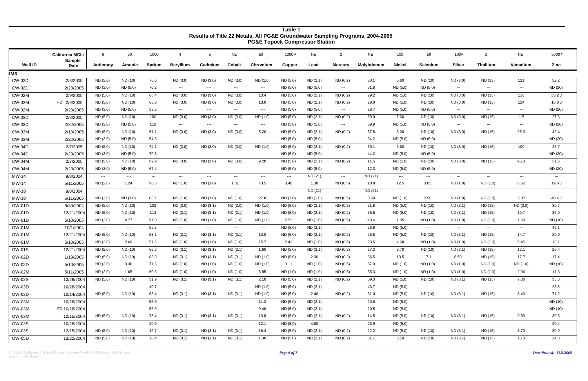|                | <b>California MCL:</b>       | 6                                      | 50                                     | 1000                                                                                                                                                                                                                                                                                                                                                                                         | -4                                       | 5                                                                                              | <b>NE</b>                | 50                       | 1000*                    | <b>NE</b> | 2                                      | <b>NE</b>  | 100                      | 50                   | $100*$               | 2                                      | <b>NE</b>                                                                                                                                                                                                                                                                                                                                                                                    | 5000*                |
|----------------|------------------------------|----------------------------------------|----------------------------------------|----------------------------------------------------------------------------------------------------------------------------------------------------------------------------------------------------------------------------------------------------------------------------------------------------------------------------------------------------------------------------------------------|------------------------------------------|------------------------------------------------------------------------------------------------|--------------------------|--------------------------|--------------------------|-----------|----------------------------------------|------------|--------------------------|----------------------|----------------------|----------------------------------------|----------------------------------------------------------------------------------------------------------------------------------------------------------------------------------------------------------------------------------------------------------------------------------------------------------------------------------------------------------------------------------------------|----------------------|
| <b>Well ID</b> | <b>Sample</b><br><b>Date</b> | Antimony                               | Arsenic                                | <b>Barium</b>                                                                                                                                                                                                                                                                                                                                                                                | <b>Beryllium</b>                         | Cadmium                                                                                        | <b>Cobalt</b>            | Chromium                 | Copper                   | Lead      | <b>Mercury</b>                         | Molybdenum | <b>Nickel</b>            | Selenium             | <b>Silver</b>        | <b>Thallium</b>                        | Vanadium                                                                                                                                                                                                                                                                                                                                                                                     | Zinc                 |
| IM3            |                              |                                        |                                        |                                                                                                                                                                                                                                                                                                                                                                                              |                                          |                                                                                                |                          |                          |                          |           |                                        |            |                          |                      |                      |                                        |                                                                                                                                                                                                                                                                                                                                                                                              |                      |
| <b>CW-02D</b>  | 2/8/2005                     | ND (5.0)                               | ND (10)                                | 76.6                                                                                                                                                                                                                                                                                                                                                                                         | ND (3.0)                                 | ND (3.0)                                                                                       | ND (3.0)                 | ND (1.0)                 | ND (5.0)                 | ND(2.1)   | ND(0.2)                                | 50.1       | 5.60                     | ND (10)              | ND (3.0)             | ND (15)                                | 121                                                                                                                                                                                                                                                                                                                                                                                          | 52.2                 |
| <b>CW-02D</b>  | 2/23/2005                    | ND (3.0)                               | ND(5.0)                                | 70.2                                                                                                                                                                                                                                                                                                                                                                                         | $\sim$ $\sim$ $\sim$                     | $\sim$                                                                                         | $\cdots$                 | $\cdots$                 | ND (5.0)                 | ND (5.0)  | $\sim$ $\sim$                          | 51.8       | ND (5.0)                 | ND (5.0)             | $\sim$ $\sim$ $\sim$ | $\hspace{0.05cm} \ldots$               | $\cdots$                                                                                                                                                                                                                                                                                                                                                                                     | ND (20)              |
| <b>CW-02M</b>  | 2/9/2005                     | ND (5.0)                               | ND (10)                                | 68.4                                                                                                                                                                                                                                                                                                                                                                                         | ND (3.0)                                 | ND(3.0)                                                                                        | ND (3.0)                 | 13.4                     | ND (5.0)                 | ND (2.1)  | ND(0.2)                                | 29.2       | ND (5.0)                 | ND (10)              | ND (3.0)             | ND (15)                                | 116                                                                                                                                                                                                                                                                                                                                                                                          | 33.2 J               |
| <b>CW-02M</b>  | FD 2/9/2005                  | ND (5.0)                               | ND (10)                                | 68.0                                                                                                                                                                                                                                                                                                                                                                                         | ND (3.0)                                 | ND (3.0)                                                                                       | ND (3.0)                 | 13.0                     | ND (5.0)                 | ND (2.1)  | ND(0.2)                                | 28.0       | ND (5.0)                 | ND (10)              | ND (3.0)             | ND (15)                                | 124                                                                                                                                                                                                                                                                                                                                                                                          | $15.8$ J             |
| <b>CW-02M</b>  | 2/23/2005                    | ND(3.0)                                | ND(5.0)                                | 59.6                                                                                                                                                                                                                                                                                                                                                                                         | $\sim$ $\sim$                            | $\qquad \qquad - -$                                                                            | $\hspace{0.05cm} \ldots$ | $\overline{\phantom{a}}$ | ND (5.0)                 | ND (5.0)  | $\overline{\phantom{a}}$               | 26.7       | ND (5.0)                 | ND (5.0)             | $\sim$ $\sim$ $\sim$ | $\hspace{0.05cm} \ldots$               | $\qquad \qquad \cdots$                                                                                                                                                                                                                                                                                                                                                                       | ND (20)              |
| <b>CW-03D</b>  | 2/8/2005                     | ND (5.0)                               | ND (10)                                | 100                                                                                                                                                                                                                                                                                                                                                                                          | ND (3.0)                                 | ND(3.0)                                                                                        | ND (3.0)                 | ND (1.0)                 | ND (5.0)                 | ND (2.1)  | ND(0.2)                                | 59.0       | 7.60                     | ND (10)              | ND (3.0)             | ND (15)                                | 115                                                                                                                                                                                                                                                                                                                                                                                          | 27.6                 |
| <b>CW-03D</b>  | 2/22/2005                    | ND (3.0)                               | ND (5.0)                               | 119                                                                                                                                                                                                                                                                                                                                                                                          | $-$ - $ \,$                              | $\qquad \qquad - -$                                                                            | $\sim$ $\sim$            | $\hspace{0.05cm} \ldots$ | ND (5.0)                 | ND (5.0)  | $\hspace{0.1em} \ldots \hspace{0.1em}$ | 59.9       | ND (5.0)                 | ND (5.0)             | $\sim$ $\sim$        | $--$                                   | $\sim$ $\sim$ $\sim$                                                                                                                                                                                                                                                                                                                                                                         | ND (20)              |
| <b>CW-03M</b>  | 2/10/2005                    | ND (5.0)                               | ND (10)                                | 61.1                                                                                                                                                                                                                                                                                                                                                                                         | ND (3.0)                                 | ND (3.0)                                                                                       | ND (3.0)                 | 5.20                     | ND (5.0)                 | ND(2.1)   | ND(0.2)                                | 37.8       | 5.00                     | ND (10)              | ND (3.0)             | ND (15)                                | 98.3                                                                                                                                                                                                                                                                                                                                                                                         | 42.4                 |
| <b>CW-03M</b>  | 2/22/2005                    | ND (3.0)                               | ND (5.0)                               | 54.3                                                                                                                                                                                                                                                                                                                                                                                         | $\sim$ $\sim$                            | $\qquad \qquad - -$                                                                            | $\hspace{0.05cm} \ldots$ | $\hspace{0.05cm} \ldots$ | ND (5.0)                 | ND (5.0)  | $\sim$                                 | 34.2       | ND (5.0)                 | ND (5.0)             | $\sim$ $\sim$ $\sim$ | $\hspace{0.05cm} \ldots$               | $\qquad \qquad \text{---}$                                                                                                                                                                                                                                                                                                                                                                   | ND (20)              |
| <b>CW-04D</b>  | 2/7/2005                     | ND (5.0)                               | ND (10)                                | 74.1                                                                                                                                                                                                                                                                                                                                                                                         | ND (3.0)                                 | ND (3.0)                                                                                       | ND (3.0)                 | ND (1.0)                 | ND (5.0)                 | ND(2.1)   | ND(0.2)                                | 39.1       | 5.60                     | ND (10)              | ND (3.0)             | ND (15)                                | 109                                                                                                                                                                                                                                                                                                                                                                                          | 25.7                 |
| <b>CW-04D</b>  | 2/23/2005                    | ND (3.0)                               | ND (5.0)                               | 70.3                                                                                                                                                                                                                                                                                                                                                                                         | $\hspace{0.05cm} \ldots \hspace{0.05cm}$ | $\qquad \qquad - -$                                                                            | $\sim$ $\sim$ $\sim$     | $\sim$ $\sim$            | ND (5.0)                 | ND (5.0)  | $\scriptstyle \cdots$                  | 44.2       | ND (5.0)                 | ND (5.0)             | $\sim$ $\sim$ $\sim$ | $\sim$ $\sim$                          | $\frac{1}{2} \frac{1}{2} \frac{1}{2} \frac{1}{2} \frac{1}{2} \frac{1}{2} \frac{1}{2} \frac{1}{2} \frac{1}{2} \frac{1}{2} \frac{1}{2} \frac{1}{2} \frac{1}{2} \frac{1}{2} \frac{1}{2} \frac{1}{2} \frac{1}{2} \frac{1}{2} \frac{1}{2} \frac{1}{2} \frac{1}{2} \frac{1}{2} \frac{1}{2} \frac{1}{2} \frac{1}{2} \frac{1}{2} \frac{1}{2} \frac{1}{2} \frac{1}{2} \frac{1}{2} \frac{1}{2} \frac{$ | ND (20)              |
| <b>CW-04M</b>  | 2/7/2005                     | ND (5.0)                               | ND (10)                                | 69.9                                                                                                                                                                                                                                                                                                                                                                                         | ND (3.0)                                 | ND (3.0)                                                                                       | ND(3.0)                  | 9.20                     | ND (5.0)                 | ND(2.1)   | ND(0.2)                                | 11.5       | ND (5.0)                 | ND (10)              | ND (3.0)             | ND (15)                                | 95.3                                                                                                                                                                                                                                                                                                                                                                                         | 31.6                 |
| <b>CW-04M</b>  | 2/23/2005                    | ND (3.0)                               | ND (5.0)                               | 67.4                                                                                                                                                                                                                                                                                                                                                                                         | $\sim$ $\sim$ $\sim$                     | $\qquad \qquad - -$                                                                            | $\hspace{0.05cm} \ldots$ | $\hspace{0.05cm} \ldots$ | ND (5.0)                 | ND (5.0)  | $\sim$                                 | 12.3       | ND (5.0)                 | ND (5.0)             | $\sim$ $\sim$ $\sim$ | $\hspace{0.1em} \ldots \hspace{0.1em}$ | $\cdots$                                                                                                                                                                                                                                                                                                                                                                                     | ND (20)              |
| MW-14          | 9/8/2004                     | $\sim$ $\sim$                          | $\sim$                                 | $\frac{1}{2} \frac{1}{2} \frac{1}{2} \frac{1}{2} \frac{1}{2} \frac{1}{2} \frac{1}{2} \frac{1}{2} \frac{1}{2} \frac{1}{2} \frac{1}{2} \frac{1}{2} \frac{1}{2} \frac{1}{2} \frac{1}{2} \frac{1}{2} \frac{1}{2} \frac{1}{2} \frac{1}{2} \frac{1}{2} \frac{1}{2} \frac{1}{2} \frac{1}{2} \frac{1}{2} \frac{1}{2} \frac{1}{2} \frac{1}{2} \frac{1}{2} \frac{1}{2} \frac{1}{2} \frac{1}{2} \frac{$ | $\cdots$                                 | ---                                                                                            | $\sim$ $\sim$ $\sim$     | $\overline{\phantom{a}}$ | $\sim$                   | ND (21)   | $\sim$                                 | ND (21)    | $\hspace{0.05cm} \ldots$ | $\sim$ $\sim$ $\sim$ | $\sim$ $\sim$ $\sim$ | $\sim$ $\sim$                          | $\frac{1}{2} \frac{1}{2} \frac{1}{2} \frac{1}{2} \frac{1}{2} \frac{1}{2} \frac{1}{2} \frac{1}{2} \frac{1}{2} \frac{1}{2} \frac{1}{2} \frac{1}{2} \frac{1}{2} \frac{1}{2} \frac{1}{2} \frac{1}{2} \frac{1}{2} \frac{1}{2} \frac{1}{2} \frac{1}{2} \frac{1}{2} \frac{1}{2} \frac{1}{2} \frac{1}{2} \frac{1}{2} \frac{1}{2} \frac{1}{2} \frac{1}{2} \frac{1}{2} \frac{1}{2} \frac{1}{2} \frac{$ | $\sim$ $\sim$ $\sim$ |
| MW-14          | 5/11/2005                    | ND (2.0)                               | 1.24                                   | 96.8                                                                                                                                                                                                                                                                                                                                                                                         | ND (1.0)                                 | ND(1.0)                                                                                        | 1.01                     | 43.5                     | 3.48                     | 1.38      | ND(0.5)                                | 10.8       | 12.5                     | 3.65                 | ND(1.0)              | ND (1.0)                               | 6.52                                                                                                                                                                                                                                                                                                                                                                                         | 19.6 J               |
| MW-18          | 9/8/2004                     | $\sim$ $\sim$                          | $\sim$                                 | $  -$                                                                                                                                                                                                                                                                                                                                                                                        | $\cdots$                                 | $\sim$                                                                                         | $\sim$ $\sim$ $\sim$     | $\cdots$                 | $\hspace{0.05cm} \ldots$ | ND (21)   | $\sim$ $\sim$                          | ND (21)    | $\sim$ $\sim$            | $\sim$               | $\sim$ $\sim$        | $\sim$ $\sim$ $\sim$                   | $\sim$ $\sim$ $\sim$                                                                                                                                                                                                                                                                                                                                                                         | $---$                |
| MW-18          | 5/11/2005                    | ND (2.0)                               | ND(1.0)                                | 83.1                                                                                                                                                                                                                                                                                                                                                                                         | ND (1.0)                                 | ND (1.0)                                                                                       | ND (1.0)                 | 27.8                     | ND (1.0)                 | ND (1.0)  | ND(0.5)                                | 3.60       | ND(1.0)                  | 2.58                 | ND (1.0)             | ND (1.0)                               | 3.37                                                                                                                                                                                                                                                                                                                                                                                         | $40.4$ J             |
| <b>OW-01D</b>  | 9/30/2004                    | ND (5.0)                               | ND (10)                                | 102                                                                                                                                                                                                                                                                                                                                                                                          | ND (3.0)                                 | ND (3.1)                                                                                       | ND (3.0)                 | ND (1.0)                 | ND (5.0)                 | ND (2.1)  | ND(0.2)                                | 51.8       | ND (5.0)                 | ND (10)              | ND(3.1)              | ND (15)                                | ND (3.0)                                                                                                                                                                                                                                                                                                                                                                                     | 30.7                 |
| <b>OW-01D</b>  | 12/21/2004                   | ND (5.0)                               | ND (10)                                | 113                                                                                                                                                                                                                                                                                                                                                                                          | ND (3.1)                                 | ND(3.1)                                                                                        | ND (3.1)                 | ND (1.0)                 | ND (5.0)                 | ND (2.1)  | ND(0.2)                                | 35.6       | ND (5.0)                 | ND (10)              | ND(3.1)              | ND (15)                                | 10.7                                                                                                                                                                                                                                                                                                                                                                                         | 36.0                 |
| <b>OW-01D</b>  | 5/10/2005                    | ND (2.0)                               | 4.77                                   | 91.0                                                                                                                                                                                                                                                                                                                                                                                         | ND (1.0)                                 | ND (1.0)                                                                                       | ND (1.0)                 | ND (1.0)                 | 2.52                     | ND (1.0)  | ND(0.5)                                | 43.4       | 1.05                     | ND (1.0)             | ND(1.0)              | ND (1.0)                               | 1.69                                                                                                                                                                                                                                                                                                                                                                                         | ND (10)              |
| <b>OW-01M</b>  | 10/1/2004                    | $\sim$ $\sim$                          | $\cdots$                               | 59.7                                                                                                                                                                                                                                                                                                                                                                                         | $\cdots$                                 | $\sim$ $\sim$ $\sim$                                                                           | $\sim$ $\sim$ $\sim$     | $\qquad \qquad \cdots$   | ND (5.0)                 | ND(2.1)   | $\hspace{0.1em} \ldots \hspace{0.1em}$ | 26.8       | ND (5.0)                 | $\sim$ $\sim$ $\sim$ | $\sim$ $\sim$ $\sim$ | $\sim$ $\sim$ $\sim$                   | $\sim$ $\sim$ $\sim$                                                                                                                                                                                                                                                                                                                                                                         | 46.1                 |
| <b>OW-01M</b>  | 12/21/2004                   | ND (5.0)                               | ND (10)                                | 58.1                                                                                                                                                                                                                                                                                                                                                                                         | ND (3.1)                                 | ND(3.1)                                                                                        | ND(3.1)                  | 10.0                     | ND (5.0)                 | ND (2.1)  | ND(0.2)                                | 26.8       | ND (5.0)                 | ND (10)              | ND(3.1)              | ND (15)                                | 14.7                                                                                                                                                                                                                                                                                                                                                                                         | 20.9                 |
| <b>OW-01M</b>  | 5/10/2005                    | ND(2.0)                                | 2.69                                   | 51.6                                                                                                                                                                                                                                                                                                                                                                                         | ND (1.0)                                 | ND (1.0)                                                                                       | ND (1.0)                 | 15.7                     | 2.41                     | ND (1.0)  | ND(0.5)                                | 23.5       | 4.68                     | ND (1.0)             | ND (1.0)             | ND (1.0)                               | 5.45                                                                                                                                                                                                                                                                                                                                                                                         | 13.1                 |
| <b>OW-01S</b>  | 12/21/2004                   | ND (5.0)                               | ND (10)                                | 66.2                                                                                                                                                                                                                                                                                                                                                                                         | ND (3.1)                                 | ND (3.1)                                                                                       | ND (3.1)                 | 1.60                     | ND (5.0)                 | ND (2.1)  | ND(0.2)                                | 27.3       | 8.70                     | ND (10)              | ND(3.1)              | ND (15)                                | 12.1                                                                                                                                                                                                                                                                                                                                                                                         | 26.4                 |
| OW-02D         | 1/13/2005                    | ND (5.0)                               | ND (10)                                | 83.3                                                                                                                                                                                                                                                                                                                                                                                         | ND (3.1)                                 | ND(3.1)                                                                                        | ND(3.1)                  | ND (1.0)                 | ND(5.0)                  | 2.90      | ND(0.2)                                | 66.5       | 13.5                     | 17.1                 | 8.50                 | ND (15)                                | 17.7                                                                                                                                                                                                                                                                                                                                                                                         | 17.4                 |
| OW-02D         | 5/10/2005                    | ND (2.0)                               | 3.30                                   | 71.6                                                                                                                                                                                                                                                                                                                                                                                         | ND (1.0)                                 | ND (1.0)                                                                                       | ND (1.0)                 | ND (1.0)                 | 3.11                     | ND (1.0)  | ND (0.5)                               | 57.0       | ND (1.0)                 | ND (1.0)             | ND (1.0)             | ND (1.0)                               | ND (1.0)                                                                                                                                                                                                                                                                                                                                                                                     | ND (10)              |
| <b>OW-02M</b>  | 5/11/2005                    | ND (2.0)                               | 1.65                                   | 60.3                                                                                                                                                                                                                                                                                                                                                                                         | ND (1.0)                                 | ND (1.0)                                                                                       | ND (1.0)                 | 5.85                     | ND (1.0)                 | ND (1.0)  | ND (0.5)                               | 35.3       | ND (1.0)                 | ND (1.0)             | ND (1.0)             | ND (1.0)                               | 2.96                                                                                                                                                                                                                                                                                                                                                                                         | 11.3                 |
| <b>OW-02S</b>  | 12/29/2004                   | ND (5.0)                               | ND (10)                                | 31.9                                                                                                                                                                                                                                                                                                                                                                                         | ND (3.1)                                 | ND (3.1)                                                                                       | ND (3.1)                 | 2.10                     | ND (5.0)                 | ND (2.1)  | ND (0.2)                               | 89.3       | ND (5.0)                 | ND (10)              | ND(3.1)              | ND (15)                                | 7.00                                                                                                                                                                                                                                                                                                                                                                                         | 33.3                 |
| OW-03D         | 10/28/2004                   | $\sim$ $\sim$                          | $\scriptstyle\cdots\scriptstyle\cdots$ | 40.7                                                                                                                                                                                                                                                                                                                                                                                         | $-$ - $ \,$                              | $\sim$ $\sim$ $\sim$                                                                           | $\hspace{0.05cm} \ldots$ | ND (1.0)                 | ND (5.0)                 | ND (2.1)  | $\hspace{0.1em} \ldots \hspace{0.1em}$ | 43.7       | ND (5.0)                 | $\sim$ $\sim$ $\sim$ | $   \cdot$           | $\sim$ $\sim$                          | $\sim$ $\sim$                                                                                                                                                                                                                                                                                                                                                                                | 28.8                 |
| OW-03D         | 12/14/2004                   | ND (5.0)                               | ND (10)                                | 63.4                                                                                                                                                                                                                                                                                                                                                                                         | ND (3.1)                                 | ND (3.1)                                                                                       | ND (3.1)                 | ND (1.0)                 | ND (5.0)                 | 2.40      | ND (0.2)                               | 31.0       | ND (5.0)                 | ND (10)              | ND(3.1)              | ND (15)                                | 8.40                                                                                                                                                                                                                                                                                                                                                                                         | 71.2                 |
| OW-03M         | 10/28/2004                   | $\sim$ $\sim$                          | $\scriptstyle\cdots\scriptstyle\cdots$ | 55.5                                                                                                                                                                                                                                                                                                                                                                                         | $\sim$ $\sim$ $\sim$                     | $\sim$ $\sim$ $\sim$                                                                           | $\scriptstyle\cdots$     | 11.2                     | ND (5.0)                 | ND (2.1)  | $\hspace{0.1em} \ldots \hspace{0.1em}$ | 20.6       | ND (5.0)                 | $\sim$ $\sim$        | $\sim$ $\sim$ $\sim$ | $\scriptstyle\cdots$                   | $\sim$ $\sim$                                                                                                                                                                                                                                                                                                                                                                                | ND (10)              |
| OW-03M         | FD 10/28/2004                | $\hspace{0.1em} \ldots \hspace{0.1em}$ | $\scriptstyle\cdots$                   | 56.0                                                                                                                                                                                                                                                                                                                                                                                         | $\scriptstyle\cdots\scriptstyle\cdots$   | $\scriptstyle\cdots$                                                                           | $\scriptstyle\cdots$     | 9.40                     | ND (5.0)                 | ND (2.1)  | $\hspace{0.05cm} \ldots$               | 20.5       | ND (5.0)                 | $\sim$ $\sim$        | $   \cdot$           | $\scriptstyle\cdots$                   | $\hspace{0.05cm} \ldots$                                                                                                                                                                                                                                                                                                                                                                     | ND (10)              |
| OW-03M         | 12/15/2004                   | ND (5.0)                               | ND (10)                                | 73.4                                                                                                                                                                                                                                                                                                                                                                                         | ND (3.1)                                 | ND (3.1)                                                                                       | ND (3.1)                 | 13.8                     | ND (5.0)                 | ND (2.1)  | ND (0.2)                               | 14.5       | ND (5.0)                 | ND (10)              | ND(3.1)              | ND (15)                                | 9.50                                                                                                                                                                                                                                                                                                                                                                                         | 30.3                 |
| <b>OW-03S</b>  | 10/28/2004                   | $\sim$ $\sim$                          | $\frac{1}{2}$                          | 20.6                                                                                                                                                                                                                                                                                                                                                                                         | $\sim$ $\sim$                            | $\frac{1}{2} \left( \frac{1}{2} \right) \left( \frac{1}{2} \right) \left( \frac{1}{2} \right)$ | $--$                     | 12.1                     | ND (5.0)                 | 4.60      | $\sim$ $\sim$                          | 23.9       | ND (5.0)                 | $  -$                | $\sim$ $\sim$ $\sim$ | $\sim$ $\sim$                          | $\cdots$                                                                                                                                                                                                                                                                                                                                                                                     | 20.4                 |
| OW-03S         | 12/15/2004                   | ND (5.0)                               | ND (10)                                | 16.7                                                                                                                                                                                                                                                                                                                                                                                         | ND (3.1)                                 | ND (3.1)                                                                                       | ND (3.1)                 | 16.4                     | ND (5.0)                 | ND (2.1)  | ND (0.2)                               | 22.2       | ND (5.0)                 | ND (10)              | ND(3.1)              | ND (15)                                | 8.70                                                                                                                                                                                                                                                                                                                                                                                         | 30.9                 |
| OW-05D         | 12/22/2004                   | ND (5.0)                               | ND (10)                                | 78.4                                                                                                                                                                                                                                                                                                                                                                                         | ND (3.1)                                 | ND(3.1)                                                                                        | ND (3.1)                 | 1.30                     | ND (5.0)                 | ND (2.1)  | ND (0.2)                               | 81.1       | 8.10                     | ND (10)              | ND (3.1)             | ND (15)                                | 13.3                                                                                                                                                                                                                                                                                                                                                                                         | 24.3                 |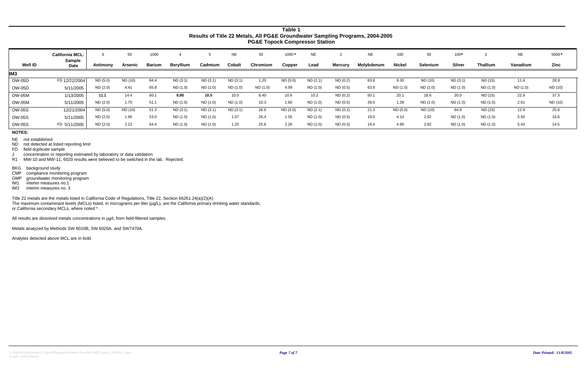| <b>Well ID</b>  | <b>California MCL:</b><br><b>Sample</b> | Antimony | 50<br>Arsenic | 1000<br><b>Barium</b> | <b>Bervillum</b> | Cadmium  | <b>NE</b><br>Cobalt | 50<br>Chromium | $1000*$<br>Copper | <b>NE</b><br>Lead | <b>Mercury</b> | <b>NE</b><br>Molybdenum | 100<br><b>Nickel</b> | 50<br><b>Selenium</b> | $100*$<br>Silver | <b>Thallium</b> | <b>NE</b><br>Vanadium | 5000*<br>Zinc |
|-----------------|-----------------------------------------|----------|---------------|-----------------------|------------------|----------|---------------------|----------------|-------------------|-------------------|----------------|-------------------------|----------------------|-----------------------|------------------|-----------------|-----------------------|---------------|
|                 | <b>Date</b>                             |          |               |                       |                  |          |                     |                |                   |                   |                |                         |                      |                       |                  |                 |                       |               |
| IM <sub>3</sub> |                                         |          |               |                       |                  |          |                     |                |                   |                   |                |                         |                      |                       |                  |                 |                       |               |
| <b>OW-05D</b>   | FD 12/22/2004                           | ND (5.0) | ND (10)       | 84.4                  | ND(3.1)          | ND(3.1)  | ND(3.1)             | 1.20           | ND(5.0)           | ND(2.1)           | ND(0.2)        | 83.8                    | 9.30                 | ND (10)               | ND(3.1)          | ND (15)         | 11.6                  | 28.9          |
| <b>OW-05D</b>   | 5/11/2005                               | ND (2.0) | 4.41          | 65.8                  | ND (1.0)         | ND (1.0) | ND (1.0)            | ND (1.0)       | 4.09              | ND (1.0)          | ND(0.5)        | 63.8                    | ND (1.0)             | ND (1.0)              | ND (1.0)         | ND (1.0)        | ND (1.0)              | ND (10)       |
| <b>OW-05M</b>   | 1/13/2005                               | 11.1     | 14.4          | 60.1                  | 8.80             | 10.5     | 10.0                | 8.40           | 10.6              | 10.2              | ND(0.2)        | 50.7                    | 20.1                 | 18.6                  | 20.0             | ND (15)         | 22.9                  | 37.3          |
| <b>OW-05M</b>   | 5/11/2005                               | ND (2.0) | 1.70          | 51.1                  | ND (1.0)         | ND (1.0) | ND (1.0)            | 10.3           | 1.60              | ND (1.0)          | ND(0.5)        | 39.0                    | 1.28                 | ND (1.0)              | ND (1.0)         | ND (1.0)        | 2.61                  | ND (10)       |
| OW-05S          | 12/21/2004                              | ND (5.0) | ND (10)       | 51.3                  | ND(3.1)          | ND (3.1) | ND (3.1)            | 26.6           | ND (5.0)          | ND (2.1)          | ND(0.2)        | 21.3                    | ND (5.0)             | ND (10)               | 64.9             | ND (15)         | 12.9                  | 25.6          |
| OW-05S          | 5/11/2005                               | ND (2.0) | 1.95          | 53.0                  | ND (1.0)         | ND (1.0) | 1.07                | 26.4           | 1.55              | ND (1.0)          | ND (0.5)       | 19.0                    | 4.14                 | 2.82                  | ND (1.0)         | ND (1.0)        | 5.50                  | 16.6          |
| <b>OW-05S</b>   | FD 5/11/2005                            | ND (2.0) | 2.22          | 64.4                  | ND (1.0)         | ND (1.0) | 1.25                | 25.6           | 2.26              | ND (1.0)          | ND(0.5)        | 19.4                    | 4.90                 | 2.82                  | ND(1.0)          | ND (1.0)        | 5.43                  | 14.5          |

.<br>R1 MW-10 and MW-11, 6020 results were believed to be switched in the lab. Rejected.

Title 22 metals are the metals listed in California Code of Regulations, Title 22, Section 66261.24(a)(2)(A) The maximum contaminant levels (MCLs) listed, in micrograms per liter (µg/L), are the California primary drinking water standards, or California secondary MCLs, where noted \* .

All results are dissolved metals concentrations in µg/L from field-filtered samples.

Metals analyzed by Methods SW 6010B, SW 6020A, and SW7470A.

Analytes detected above MCL are in bold.

**NOTES:**

NE not established

NDnot detected at listed reporting limit

 FDfield duplicate sample

Jconcentration or reporting estimated by laboratory or data validation

BKG background study

CMPcompliance monitoring program

 GMP groundwater monitoring program

IM1 interim measures no.1

IM3 interim measures no. 3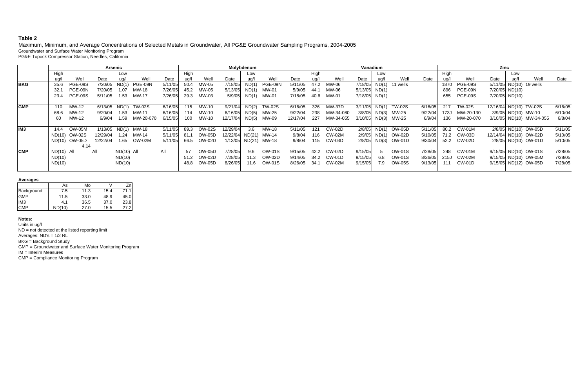Maximum, Minimum, and Average Concentrations of Selected Metals in Groundwater, All PG&E Groundwater Sampling Programs, 2004-2005 Groundwater and Surface Water Monitoring Program PG&E Topock Compressor Station, Needles, California

|                  |              |                |          | Arsenic      |               |         |       |               |                       | Molybdenum |                      |          |      |               |                 | Vanadium |                     |         |      |                | Zinc             |      |                          |         |
|------------------|--------------|----------------|----------|--------------|---------------|---------|-------|---------------|-----------------------|------------|----------------------|----------|------|---------------|-----------------|----------|---------------------|---------|------|----------------|------------------|------|--------------------------|---------|
|                  | High         |                |          | Low          |               |         | High  |               |                       | Low        |                      |          | High |               |                 | Low      |                     |         | High |                |                  | Low  |                          |         |
|                  | ug/l         | Well           | Date     | ua/l         | Well          | Date    | ug/l  | Well          | Date                  | ug/l       | Well                 | Date     | ua/l | Well          | Date            |          | Well                | Date    | ua/l | Well           | Date             | ug/l | Well                     | Date    |
| <b>IBKG</b>      | 35.6         | <b>PGE-09S</b> | 7/20/05  | ND(1)        | PGE-09N       | 5/11/05 | 50.4  | MW-05         | 7/18/05               | ND(1)      | PGE-09N              | 5/11/05  | 47.2 | MW-06         | 7/18/05         | ND(1)    | 11 wells            |         | 1870 | <b>PGE-09S</b> |                  |      | 5/11/05 ND(10) 19 wells  |         |
|                  | 32.1         | PGE-09N        | 7/20/05  | 1.07         | MW-18         | 7/26/05 | 45.2  | MW-05         | 5/13/05               | ND(1)      | MW-01                | 5/9/05   | 44.1 | MW-06         | $5/13/05$ ND(1) |          |                     |         | 896  | PGE-09N        | $7/20/05$ ND(10) |      |                          |         |
|                  | 23.4         | PGE-09S        | 5/11/05  | 1.53         | MW-17         | 7/26/05 | 29.3  | MW-03         | 5/9/05                |            | ND(1) MW-01          | 7/18/05  | 40.6 | MW-01         | $7/18/05$ ND(1) |          |                     |         | 655  | PGE-09S        | 7/20/05 ND(10)   |      |                          |         |
|                  |              |                |          |              |               |         |       |               |                       |            |                      |          |      |               |                 |          |                     |         |      |                |                  |      |                          |         |
| <b>GMP</b>       | 110          | MW-12          | 6/13/05  | ND(1)        | <b>TW-02S</b> | 6/16/05 | 115   | MW-10         | 9/21/04               |            | ND(2) TW-02S         | 6/16/05  | 326  | MW-37D        | 3/11/05         |          | ND(1) TW-02S        | 6/16/05 | 217  | <b>TW-02S</b>  |                  |      | 12/16/04 ND(10) TW-02S   | 6/16/05 |
|                  | 68.6         | MW-12          | 9/20/04  | 1.53         | MW-11         | 6/16/05 | 114   | MW-10         | 6/16/05               |            | ND(5) MW-25          | 9/22/04  | 238  | MW-34-080     |                 |          | 3/8/05 ND(3) MW-25  | 9/22/04 | 173J | MW-20-130      |                  |      | 3/9/05 ND(10) MW-10      | 6/10/04 |
|                  | 60           | MW-12          | 6/9/04   | 1.59         | MW-20-070     | 6/15/05 | 100   | MW-10         | 12/17/04              |            | ND(5) MW-09          | 12/17/04 | 227  | MW-34-055     |                 |          | 3/10/05 ND(3) MW-25 | 6/9/04  | 136  | MW-20-070      |                  |      | 3/10/05 ND(10) MW-34-055 | 6/8/04  |
|                  |              |                |          |              |               |         |       |               |                       |            |                      |          |      |               |                 |          |                     |         |      |                |                  |      |                          |         |
| lIM <sub>3</sub> | 14.4         | OW-05M         | 1/13/05  | ND(1)        | MW-18         | 5/11/05 | 89.3  | OW-02S        | 12/29/04              | - 3.6      | MW-18                | 5/11/05  | 121  | <b>CW-02D</b> |                 |          | 2/8/05 ND(1) OW-05D | 5/11/05 | 80.2 | <b>CW-01M</b>  |                  |      | 2/8/05 ND(10) OW-05D     | 5/11/05 |
|                  |              | ND(10) OW-02S  | 12/29/04 | 1.24         | MW-14         | 5/11/05 | -81.1 | <b>OW-05D</b> | 12/22/04 ND(21) MW-14 |            |                      | 9/8/04   | 116  | CW-02M        |                 |          | 2/9/05 ND(1) OW-02D | 5/10/05 | 71.2 | OW-03D         |                  |      | 12/14/04 ND(10) OW-02D   | 5/10/05 |
|                  |              | ND(10) OW-05D  | 12/22/04 |              | 1.65 OW-02M   | 5/11/05 | 66.5  | OW-02D        |                       |            | 1/13/05 ND(21) MW-18 | 9/8/04   | 115  | CW-03D        |                 |          | 2/8/05 ND(3) OW-01D | 9/30/04 |      | 52.2 CW-02D    |                  |      | 2/8/05 ND(10) OW-01D     | 5/10/05 |
|                  |              | 4.14           |          |              |               |         |       |               |                       |            |                      |          |      |               |                 |          |                     |         |      |                |                  |      |                          |         |
| <b>CMP</b>       | $ND(10)$ All |                | All      | $ND(10)$ All |               | All     | 57    | <b>OW-05D</b> | 7/28/05               | 9.6        | <b>OW-01S</b>        | 9/15/05  | 42.2 | CW-02D        | 9/15/05         | $5 -$    | <b>OW-01S</b>       | 7/28/05 | 248  | $CW-01M$       |                  |      | 9/15/05 ND(10) OW-01S    | 7/28/05 |
|                  | ND(10)       |                |          | ND(10)       |               |         | 51.2  | <b>OW-02D</b> | 7/28/05               | 11.3       | OW-02D               | 9/14/05  | 34.2 | CW-01D        | 9/15/05         | 6.8      | <b>OW-01S</b>       | 8/26/05 | 215J | CW-02M         |                  |      | 9/15/05 ND(10) OW-05M    | 7/28/05 |
|                  | ND(10)       |                |          | ND(10)       |               |         | 48.8  | <b>OW-05D</b> | 8/26/05               | 11.6       | OW-01S               | 8/26/05  | 34.1 | CW-02M        | 9/15/05         | 7.9      | OW-05S              | 9/13/05 | 111  | CW-01D         |                  |      | 9/15/05 ND(12) OW-05D    | 7/28/05 |
|                  |              |                |          |              |               |         |       |               |                       |            |                      |          |      |               |                 |          |                     |         |      |                |                  |      |                          |         |

#### **Average s**

|                 | As     | Mo   |      |      |
|-----------------|--------|------|------|------|
| Background      | 7.5    | 11.3 | 15.4 | 71.1 |
| <b>GMP</b>      | 11.5   | 33.0 | 48.9 | 45.0 |
| IM <sub>3</sub> | 4.1    | 36.5 | 37.0 | 23.8 |
| <b>CMP</b>      | ND(10) | 27.0 | 15.5 | 27.2 |

#### **Notes:**

Units in ug/l ND = not detected at the listed reporting limit Averages: ND's = 1/2 RL BKG = Background Study GMP = Groundwater and Surface Water Monitoring Program IM = Interim Measures CMP = Compliance Monitoring Program

## **Table 2**